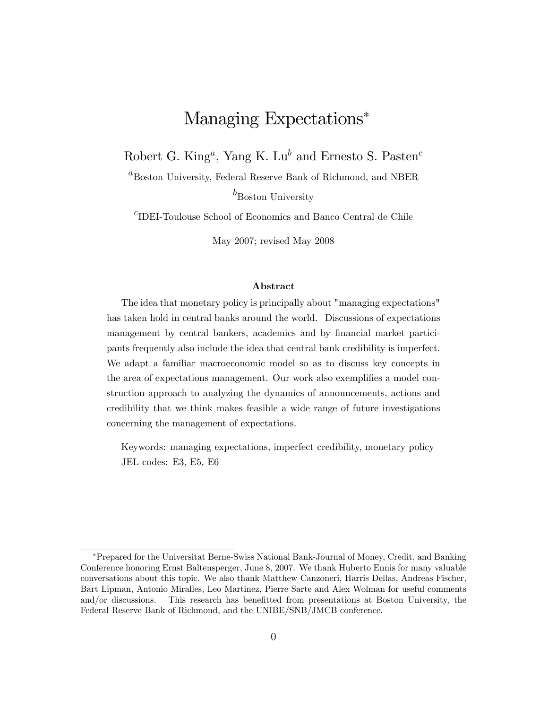# Managing Expectations\*

Robert G. King<sup>a</sup>, Yang K. Lu<sup>b</sup> and Ernesto S. Pasten<sup>c</sup>

 ${}^{a}$ Boston University, Federal Reserve Bank of Richmond, and NBER

 $b_{\text{Boston}}$  University

 $^c\overline{\mathrm{ID}}$  -Toulouse School of Economics and Banco Central de Chile

May 2007; revised May 2008

#### Abstract

The idea that monetary policy is principally about "managing expectations" has taken hold in central banks around the world. Discussions of expectations management by central bankers, academics and by financial market participants frequently also include the idea that central bank credibility is imperfect. We adapt a familiar macroeconomic model so as to discuss key concepts in the area of expectations management. Our work also exemplifies a model construction approach to analyzing the dynamics of announcements, actions and credibility that we think makes feasible a wide range of future investigations concerning the management of expectations.

Keywords: managing expectations, imperfect credibility, monetary policy JEL codes: E3, E5, E6

Prepared for the Universitat Berne-Swiss National Bank-Journal of Money, Credit, and Banking Conference honoring Ernst Baltensperger, June 8, 2007. We thank Huberto Ennis for many valuable conversations about this topic. We also thank Matthew Canzoneri, Harris Dellas, Andreas Fischer, Bart Lipman, Antonio Miralles, Leo Martinez, Pierre Sarte and Alex Wolman for useful comments and/or discussions. This research has benefitted from presentations at Boston University, the Federal Reserve Bank of Richmond, and the UNIBE/SNB/JMCB conference.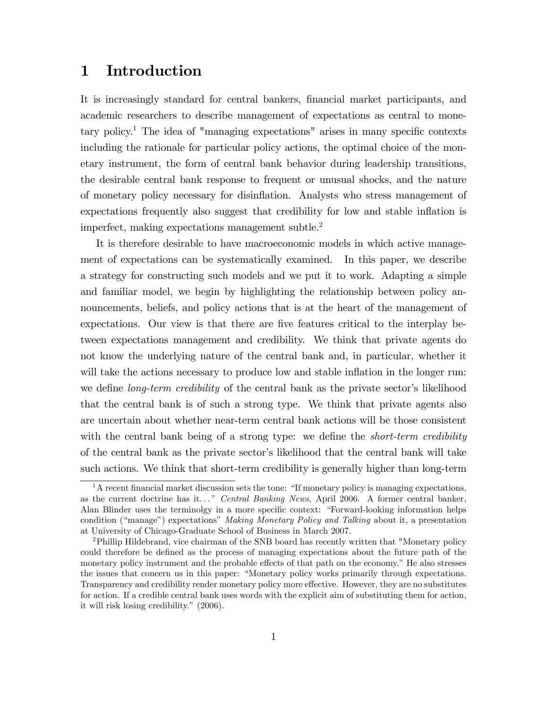## 1 Introduction

It is increasingly standard for central bankers, Önancial market participants, and academic researchers to describe management of expectations as central to monetary policy.<sup>1</sup> The idea of "managing expectations" arises in many specific contexts including the rationale for particular policy actions, the optimal choice of the monetary instrument, the form of central bank behavior during leadership transitions, the desirable central bank response to frequent or unusual shocks, and the nature of monetary policy necessary for disináation. Analysts who stress management of expectations frequently also suggest that credibility for low and stable inflation is imperfect, making expectations management subtle.<sup>2</sup>

It is therefore desirable to have macroeconomic models in which active management of expectations can be systematically examined. In this paper, we describe a strategy for constructing such models and we put it to work. Adapting a simple and familiar model, we begin by highlighting the relationship between policy announcements, beliefs, and policy actions that is at the heart of the management of expectations. Our view is that there are five features critical to the interplay between expectations management and credibility. We think that private agents do not know the underlying nature of the central bank and, in particular, whether it will take the actions necessary to produce low and stable inflation in the longer run: we define *long-term credibility* of the central bank as the private sector's likelihood that the central bank is of such a strong type. We think that private agents also are uncertain about whether near-term central bank actions will be those consistent with the central bank being of a strong type: we define the *short-term credibility* of the central bank as the private sector's likelihood that the central bank will take such actions. We think that short-term credibility is generally higher than long-term

 ${}^{1}$ A recent financial market discussion sets the tone: "If monetary policy is managing expectations, as the current doctrine has it..." Central Banking News, April 2006. A former central banker, Alan Blinder uses the terminolgy in a more specific context: "Forward-looking information helps condition ("manage") expectations" Making Monetary Policy and Talking about it, a presentation at University of Chicago-Graduate School of Business in March 2007.

<sup>&</sup>lt;sup>2</sup>Phillip Hildebrand, vice chairman of the SNB board has recently written that "Monetary policy" could therefore be defined as the process of managing expectations about the future path of the monetary policy instrument and the probable effects of that path on the economy." He also stresses the issues that concern us in this paper: "Monetary policy works primarily through expectations. Transparency and credibility render monetary policy more effective. However, they are no substitutes for action. If a credible central bank uses words with the explicit aim of substituting them for action, it will risk losing credibility."  $(2006)$ .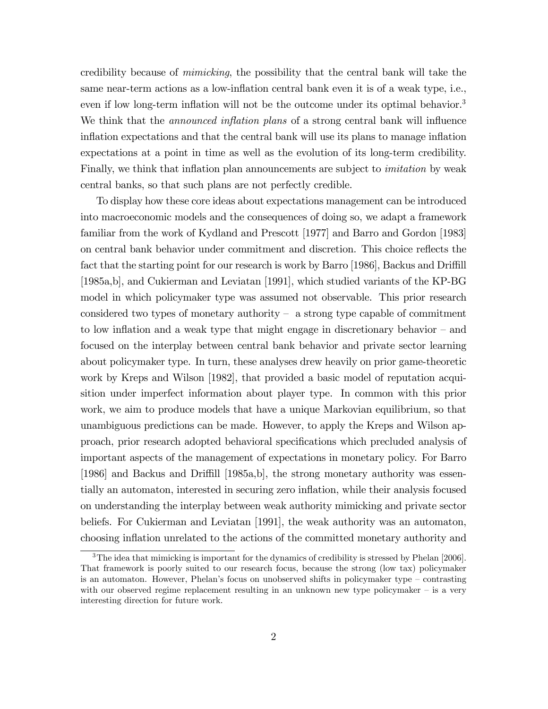credibility because of mimicking, the possibility that the central bank will take the same near-term actions as a low-inflation central bank even it is of a weak type, i.e., even if low long-term inflation will not be the outcome under its optimal behavior.<sup>3</sup> We think that the *announced inflation plans* of a strong central bank will influence inflation expectations and that the central bank will use its plans to manage inflation expectations at a point in time as well as the evolution of its long-term credibility. Finally, we think that inflation plan announcements are subject to *imitation* by weak central banks, so that such plans are not perfectly credible.

To display how these core ideas about expectations management can be introduced into macroeconomic models and the consequences of doing so, we adapt a framework familiar from the work of Kydland and Prescott [1977] and Barro and Gordon [1983] on central bank behavior under commitment and discretion. This choice reflects the fact that the starting point for our research is work by Barro [1986], Backus and Driffill [1985a,b], and Cukierman and Leviatan [1991], which studied variants of the KP-BG model in which policymaker type was assumed not observable. This prior research considered two types of monetary authority  $\overline{\phantom{a}}$  a strong type capable of commitment to low inflation and a weak type that might engage in discretionary behavior  $-$  and focused on the interplay between central bank behavior and private sector learning about policymaker type. In turn, these analyses drew heavily on prior game-theoretic work by Kreps and Wilson [1982], that provided a basic model of reputation acquisition under imperfect information about player type. In common with this prior work, we aim to produce models that have a unique Markovian equilibrium, so that unambiguous predictions can be made. However, to apply the Kreps and Wilson approach, prior research adopted behavioral specifications which precluded analysis of important aspects of the management of expectations in monetary policy. For Barro [1986] and Backus and Driffill [1985a,b], the strong monetary authority was essentially an automaton, interested in securing zero inflation, while their analysis focused on understanding the interplay between weak authority mimicking and private sector beliefs. For Cukierman and Leviatan [1991], the weak authority was an automaton, choosing ináation unrelated to the actions of the committed monetary authority and

<sup>&</sup>lt;sup>3</sup>The idea that mimicking is important for the dynamics of credibility is stressed by Phelan [2006]. That framework is poorly suited to our research focus, because the strong (low tax) policymaker is an automaton. However, Phelan's focus on unobserved shifts in policymaker type  $\sim$  contrasting with our observed regime replacement resulting in an unknown new type policymaker  $-$  is a very interesting direction for future work.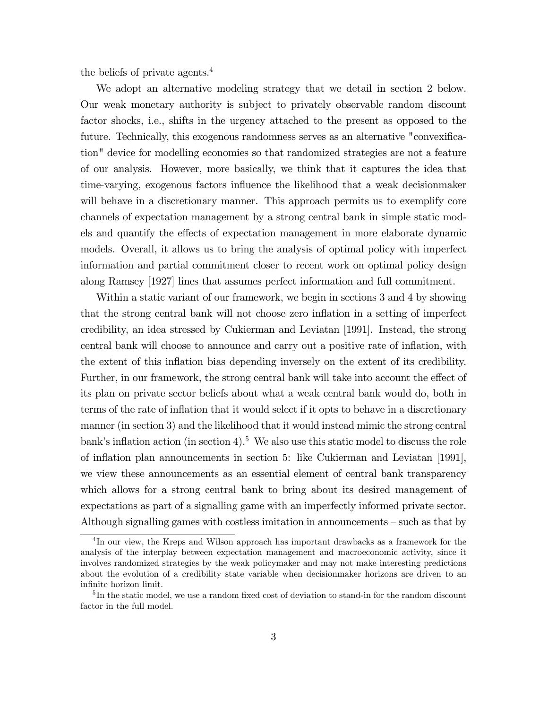the beliefs of private agents.<sup>4</sup>

We adopt an alternative modeling strategy that we detail in section 2 below. Our weak monetary authority is subject to privately observable random discount factor shocks, i.e., shifts in the urgency attached to the present as opposed to the future. Technically, this exogenous randomness serves as an alternative "convexification" device for modelling economies so that randomized strategies are not a feature of our analysis. However, more basically, we think that it captures the idea that time-varying, exogenous factors influence the likelihood that a weak decisionmaker will behave in a discretionary manner. This approach permits us to exemplify core channels of expectation management by a strong central bank in simple static models and quantify the effects of expectation management in more elaborate dynamic models. Overall, it allows us to bring the analysis of optimal policy with imperfect information and partial commitment closer to recent work on optimal policy design along Ramsey [1927] lines that assumes perfect information and full commitment.

Within a static variant of our framework, we begin in sections 3 and 4 by showing that the strong central bank will not choose zero inflation in a setting of imperfect credibility, an idea stressed by Cukierman and Leviatan [1991]. Instead, the strong central bank will choose to announce and carry out a positive rate of ináation, with the extent of this inflation bias depending inversely on the extent of its credibility. Further, in our framework, the strong central bank will take into account the effect of its plan on private sector beliefs about what a weak central bank would do, both in terms of the rate of inflation that it would select if it opts to behave in a discretionary manner (in section 3) and the likelihood that it would instead mimic the strong central bank's inflation action (in section 4).<sup>5</sup> We also use this static model to discuss the role of ináation plan announcements in section 5: like Cukierman and Leviatan [1991], we view these announcements as an essential element of central bank transparency which allows for a strong central bank to bring about its desired management of expectations as part of a signalling game with an imperfectly informed private sector. Although signalling games with costless imitation in announcements  $-\text{ such as that by }$ 

<sup>&</sup>lt;sup>4</sup>In our view, the Kreps and Wilson approach has important drawbacks as a framework for the analysis of the interplay between expectation management and macroeconomic activity, since it involves randomized strategies by the weak policymaker and may not make interesting predictions about the evolution of a credibility state variable when decisionmaker horizons are driven to an infinite horizon limit.

<sup>&</sup>lt;sup>5</sup>In the static model, we use a random fixed cost of deviation to stand-in for the random discount factor in the full model.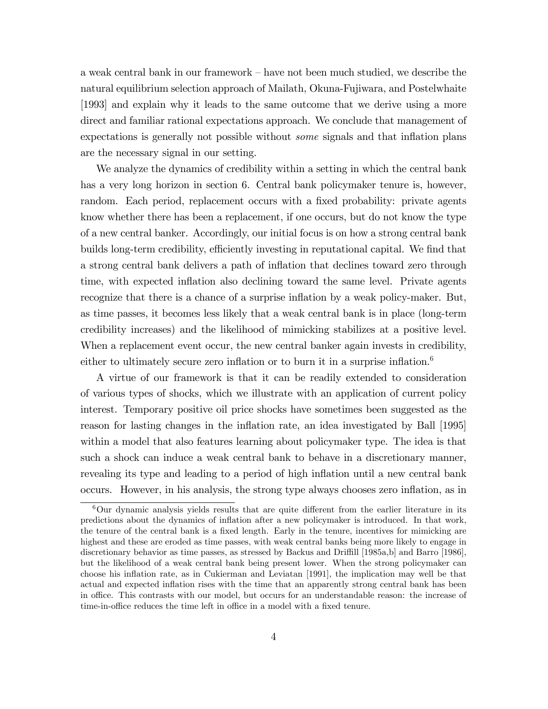a weak central bank in our framework  $-\bar{0}$  have not been much studied, we describe the natural equilibrium selection approach of Mailath, Okuna-Fujiwara, and Postelwhaite [1993] and explain why it leads to the same outcome that we derive using a more direct and familiar rational expectations approach. We conclude that management of expectations is generally not possible without *some* signals and that inflation plans are the necessary signal in our setting.

We analyze the dynamics of credibility within a setting in which the central bank has a very long horizon in section 6. Central bank policymaker tenure is, however, random. Each period, replacement occurs with a fixed probability: private agents know whether there has been a replacement, if one occurs, but do not know the type of a new central banker. Accordingly, our initial focus is on how a strong central bank builds long-term credibility, efficiently investing in reputational capital. We find that a strong central bank delivers a path of inflation that declines toward zero through time, with expected inflation also declining toward the same level. Private agents recognize that there is a chance of a surprise inflation by a weak policy-maker. But, as time passes, it becomes less likely that a weak central bank is in place (long-term credibility increases) and the likelihood of mimicking stabilizes at a positive level. When a replacement event occur, the new central banker again invests in credibility, either to ultimately secure zero inflation or to burn it in a surprise inflation.<sup>6</sup>

A virtue of our framework is that it can be readily extended to consideration of various types of shocks, which we illustrate with an application of current policy interest. Temporary positive oil price shocks have sometimes been suggested as the reason for lasting changes in the inflation rate, an idea investigated by Ball [1995] within a model that also features learning about policymaker type. The idea is that such a shock can induce a weak central bank to behave in a discretionary manner, revealing its type and leading to a period of high inflation until a new central bank occurs. However, in his analysis, the strong type always chooses zero ináation, as in

 $6$ Our dynamic analysis yields results that are quite different from the earlier literature in its predictions about the dynamics of ináation after a new policymaker is introduced. In that work, the tenure of the central bank is a fixed length. Early in the tenure, incentives for mimicking are highest and these are eroded as time passes, with weak central banks being more likely to engage in discretionary behavior as time passes, as stressed by Backus and Driffill [1985a,b] and Barro [1986], but the likelihood of a weak central bank being present lower. When the strong policymaker can choose his ináation rate, as in Cukierman and Leviatan [1991], the implication may well be that actual and expected inflation rises with the time that an apparently strong central bank has been in office. This contrasts with our model, but occurs for an understandable reason: the increase of time-in-office reduces the time left in office in a model with a fixed tenure.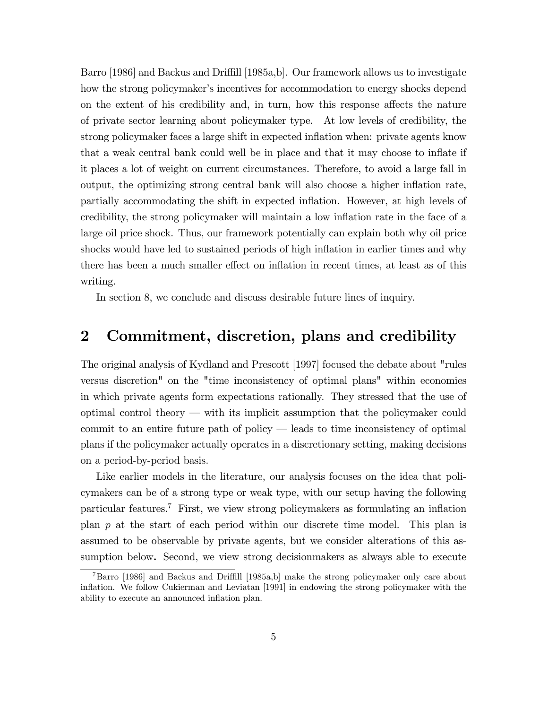Barro [1986] and Backus and Driffill [1985a,b]. Our framework allows us to investigate how the strong policymaker's incentives for accommodation to energy shocks depend on the extent of his credibility and, in turn, how this response affects the nature of private sector learning about policymaker type. At low levels of credibility, the strong policymaker faces a large shift in expected inflation when: private agents know that a weak central bank could well be in place and that it may choose to inflate if it places a lot of weight on current circumstances. Therefore, to avoid a large fall in output, the optimizing strong central bank will also choose a higher inflation rate, partially accommodating the shift in expected ináation. However, at high levels of credibility, the strong policymaker will maintain a low inflation rate in the face of a large oil price shock. Thus, our framework potentially can explain both why oil price shocks would have led to sustained periods of high inflation in earlier times and why there has been a much smaller effect on inflation in recent times, at least as of this writing.

In section 8, we conclude and discuss desirable future lines of inquiry.

## 2 Commitment, discretion, plans and credibility

The original analysis of Kydland and Prescott [1997] focused the debate about "rules versus discretion" on the "time inconsistency of optimal plans" within economies in which private agents form expectations rationally. They stressed that the use of optimal control theory  $-\text{ with its implicit assumption that the policy}$  matrix when the policymaker could commit to an entire future path of policy  $-$  leads to time inconsistency of optimal plans if the policymaker actually operates in a discretionary setting, making decisions on a period-by-period basis.

Like earlier models in the literature, our analysis focuses on the idea that policymakers can be of a strong type or weak type, with our setup having the following particular features.<sup>7</sup> First, we view strong policymakers as formulating an inflation plan p at the start of each period within our discrete time model. This plan is assumed to be observable by private agents, but we consider alterations of this assumption below. Second, we view strong decisionmakers as always able to execute

 $^{7}$ Barro [1986] and Backus and Driffill [1985a,b] make the strong policymaker only care about ináation. We follow Cukierman and Leviatan [1991] in endowing the strong policymaker with the ability to execute an announced inflation plan.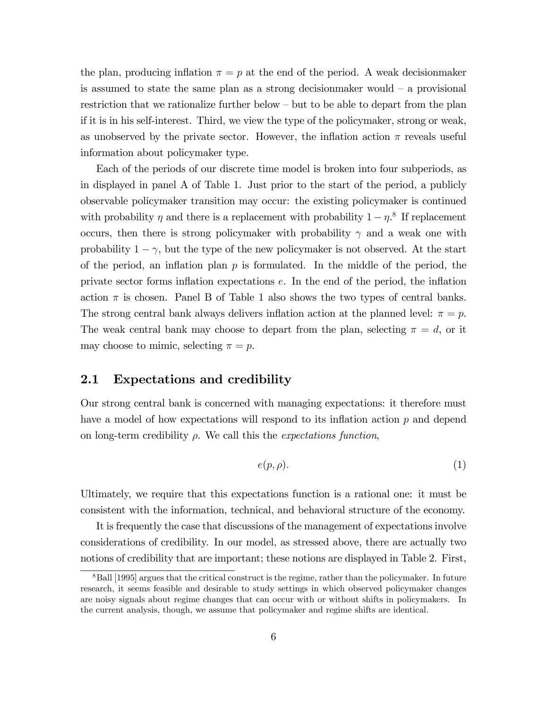the plan, producing inflation  $\pi = p$  at the end of the period. A weak decision maker is assumed to state the same plan as a strong decision maker would  $-$  a provisional restriction that we rationalize further below  $-\text{ but to be able to depart from the plan}$ if it is in his self-interest. Third, we view the type of the policymaker, strong or weak, as unobserved by the private sector. However, the inflation action  $\pi$  reveals useful information about policymaker type.

Each of the periods of our discrete time model is broken into four subperiods, as in displayed in panel A of Table 1. Just prior to the start of the period, a publicly observable policymaker transition may occur: the existing policymaker is continued with probability  $\eta$  and there is a replacement with probability  $1 - \eta$ .<sup>8</sup> If replacement occurs, then there is strong policymaker with probability  $\gamma$  and a weak one with probability  $1 - \gamma$ , but the type of the new policymaker is not observed. At the start of the period, an inflation plan  $p$  is formulated. In the middle of the period, the private sector forms inflation expectations  $e$ . In the end of the period, the inflation action  $\pi$  is chosen. Panel B of Table 1 also shows the two types of central banks. The strong central bank always delivers inflation action at the planned level:  $\pi = p$ . The weak central bank may choose to depart from the plan, selecting  $\pi = d$ , or it may choose to mimic, selecting  $\pi = p$ .

### 2.1 Expectations and credibility

Our strong central bank is concerned with managing expectations: it therefore must have a model of how expectations will respond to its inflation action  $p$  and depend on long-term credibility  $\rho$ . We call this the *expectations function*,

$$
e(p,\rho). \tag{1}
$$

Ultimately, we require that this expectations function is a rational one: it must be consistent with the information, technical, and behavioral structure of the economy.

It is frequently the case that discussions of the management of expectations involve considerations of credibility. In our model, as stressed above, there are actually two notions of credibility that are important; these notions are displayed in Table 2. First,

<sup>&</sup>lt;sup>8</sup>Ball [1995] argues that the critical construct is the regime, rather than the policymaker. In future research, it seems feasible and desirable to study settings in which observed policymaker changes are noisy signals about regime changes that can occur with or without shifts in policymakers. In the current analysis, though, we assume that policymaker and regime shifts are identical.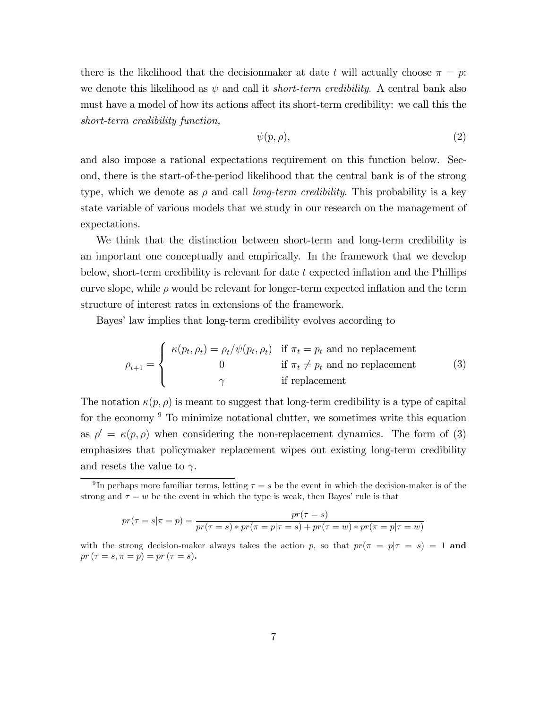there is the likelihood that the decision maker at date t will actually choose  $\pi = p$ . we denote this likelihood as  $\psi$  and call it *short-term credibility*. A central bank also must have a model of how its actions affect its short-term credibility: we call this the short-term credibility function,

$$
\psi(p,\rho),\tag{2}
$$

and also impose a rational expectations requirement on this function below. Second, there is the start-of-the-period likelihood that the central bank is of the strong type, which we denote as  $\rho$  and call *long-term credibility*. This probability is a key state variable of various models that we study in our research on the management of expectations.

We think that the distinction between short-term and long-term credibility is an important one conceptually and empirically. In the framework that we develop below, short-term credibility is relevant for date  $t$  expected inflation and the Phillips curve slope, while  $\rho$  would be relevant for longer-term expected inflation and the term structure of interest rates in extensions of the framework.

Bayes' law implies that long-term credibility evolves according to

$$
\rho_{t+1} = \begin{cases}\n\kappa(p_t, \rho_t) = \rho_t/\psi(p_t, \rho_t) & \text{if } \pi_t = p_t \text{ and no replacement} \\
0 & \text{if } \pi_t \neq p_t \text{ and no replacement} \\
\gamma & \text{if replacement}\n\end{cases}
$$
\n(3)

The notation  $\kappa(p, \rho)$  is meant to suggest that long-term credibility is a type of capital for the economy  $9$  To minimize notational clutter, we sometimes write this equation as  $\rho' = \kappa(p, \rho)$  when considering the non-replacement dynamics. The form of (3) emphasizes that policymaker replacement wipes out existing long-term credibility and resets the value to  $\gamma$ .

$$
pr(\tau = s | \pi = p) = \frac{pr(\tau = s)}{pr(\tau = s) * pr(\pi = p | \tau = s) + pr(\tau = w) * pr(\pi = p | \tau = w)}
$$

with the strong decision-maker always takes the action p, so that  $pr(\pi = p | \tau = s) = 1$  and  $pr (\tau = s, \pi = p) = pr (\tau = s).$ 

<sup>&</sup>lt;sup>9</sup>In perhaps more familiar terms, letting  $\tau = s$  be the event in which the decision-maker is of the strong and  $\tau = w$  be the event in which the type is weak, then Bayes' rule is that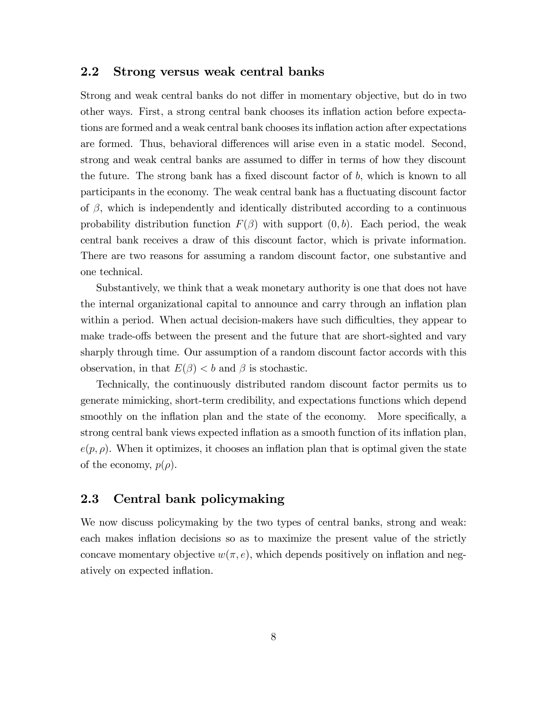### 2.2 Strong versus weak central banks

Strong and weak central banks do not differ in momentary objective, but do in two other ways. First, a strong central bank chooses its ináation action before expectations are formed and a weak central bank chooses its inflation action after expectations are formed. Thus, behavioral differences will arise even in a static model. Second, strong and weak central banks are assumed to differ in terms of how they discount the future. The strong bank has a fixed discount factor of  $b$ , which is known to all participants in the economy. The weak central bank has a fluctuating discount factor of  $\beta$ , which is independently and identically distributed according to a continuous probability distribution function  $F(\beta)$  with support  $(0, b)$ . Each period, the weak central bank receives a draw of this discount factor, which is private information. There are two reasons for assuming a random discount factor, one substantive and one technical.

Substantively, we think that a weak monetary authority is one that does not have the internal organizational capital to announce and carry through an inflation plan within a period. When actual decision-makers have such difficulties, they appear to make trade-offs between the present and the future that are short-sighted and vary sharply through time. Our assumption of a random discount factor accords with this observation, in that  $E(\beta) < b$  and  $\beta$  is stochastic.

Technically, the continuously distributed random discount factor permits us to generate mimicking, short-term credibility, and expectations functions which depend smoothly on the inflation plan and the state of the economy. More specifically, a strong central bank views expected inflation as a smooth function of its inflation plan,  $e(p, \rho)$ . When it optimizes, it chooses an inflation plan that is optimal given the state of the economy,  $p(\rho)$ .

## 2.3 Central bank policymaking

We now discuss policymaking by the two types of central banks, strong and weak: each makes inflation decisions so as to maximize the present value of the strictly concave momentary objective  $w(\pi, e)$ , which depends positively on inflation and negatively on expected inflation.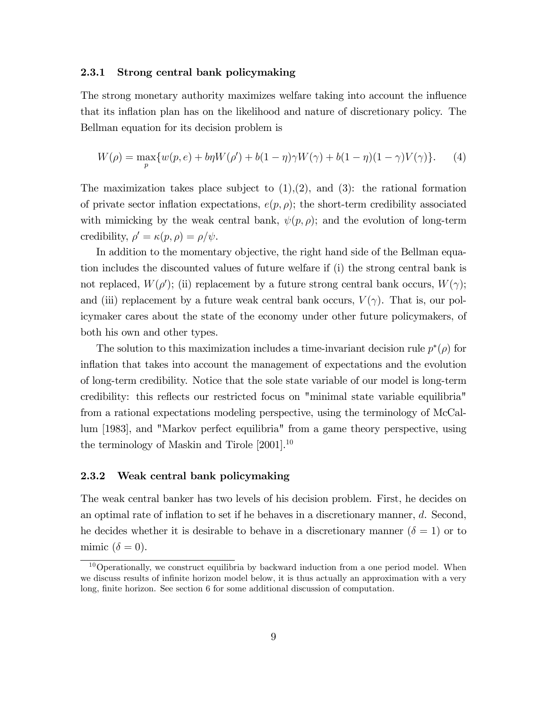#### 2.3.1 Strong central bank policymaking

The strong monetary authority maximizes welfare taking into account the influence that its inflation plan has on the likelihood and nature of discretionary policy. The Bellman equation for its decision problem is

$$
W(\rho) = \max_{p} \{ w(p, e) + b\eta W(\rho') + b(1 - \eta)\gamma W(\gamma) + b(1 - \eta)(1 - \gamma)V(\gamma) \}. \tag{4}
$$

The maximization takes place subject to  $(1),(2)$ , and  $(3)$ : the rational formation of private sector inflation expectations,  $e(p, \rho)$ ; the short-term credibility associated with mimicking by the weak central bank,  $\psi(p, \rho)$ ; and the evolution of long-term credibility,  $\rho' = \kappa(p, \rho) = \rho/\psi$ .

In addition to the momentary objective, the right hand side of the Bellman equation includes the discounted values of future welfare if (i) the strong central bank is not replaced,  $W(\rho')$ ; (ii) replacement by a future strong central bank occurs,  $W(\gamma)$ ; and (iii) replacement by a future weak central bank occurs,  $V(\gamma)$ . That is, our policymaker cares about the state of the economy under other future policymakers, of both his own and other types.

The solution to this maximization includes a time-invariant decision rule  $p^*(\rho)$  for inflation that takes into account the management of expectations and the evolution of long-term credibility. Notice that the sole state variable of our model is long-term credibility: this reflects our restricted focus on "minimal state variable equilibria" from a rational expectations modeling perspective, using the terminology of McCallum [1983], and "Markov perfect equilibria" from a game theory perspective, using the terminology of Maskin and Tirole [2001].<sup>10</sup>

#### 2.3.2 Weak central bank policymaking

The weak central banker has two levels of his decision problem. First, he decides on an optimal rate of inflation to set if he behaves in a discretionary manner,  $d$ . Second, he decides whether it is desirable to behave in a discretionary manner  $(\delta = 1)$  or to mimic  $(\delta = 0)$ .

 $10$ Operationally, we construct equilibria by backward induction from a one period model. When we discuss results of infinite horizon model below, it is thus actually an approximation with a very long, finite horizon. See section 6 for some additional discussion of computation.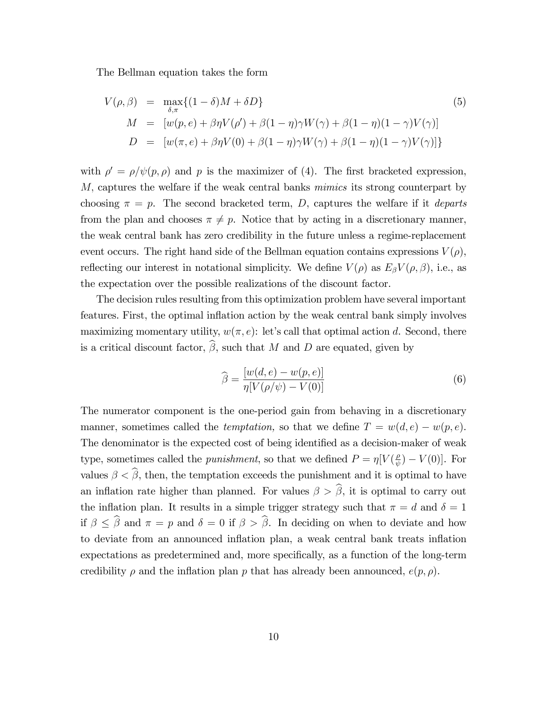The Bellman equation takes the form

$$
V(\rho,\beta) = \max_{\delta,\pi} \{ (1-\delta)M + \delta D \}
$$
  
\n
$$
M = [w(p,e) + \beta \eta V(\rho') + \beta(1-\eta)\gamma W(\gamma) + \beta(1-\eta)(1-\gamma)V(\gamma)]
$$
  
\n
$$
D = [w(\pi,e) + \beta \eta V(0) + \beta(1-\eta)\gamma W(\gamma) + \beta(1-\eta)(1-\gamma)V(\gamma)] \}
$$
\n(5)

with  $\rho' = \rho/\psi(p,\rho)$  and p is the maximizer of (4). The first bracketed expression, M, captures the welfare if the weak central banks mimics its strong counterpart by choosing  $\pi = p$ . The second bracketed term, D, captures the welfare if it *departs* from the plan and chooses  $\pi \neq p$ . Notice that by acting in a discretionary manner, the weak central bank has zero credibility in the future unless a regime-replacement event occurs. The right hand side of the Bellman equation contains expressions  $V(\rho)$ , reflecting our interest in notational simplicity. We define  $V(\rho)$  as  $E_{\beta}V(\rho,\beta)$ , i.e., as the expectation over the possible realizations of the discount factor.

The decision rules resulting from this optimization problem have several important features. First, the optimal ináation action by the weak central bank simply involves maximizing momentary utility,  $w(\pi, e)$ : let's call that optimal action d. Second, there is a critical discount factor,  $\widehat{\beta}$ , such that M and D are equated, given by

$$
\widehat{\beta} = \frac{[w(d, e) - w(p, e)]}{\eta[V(\rho/\psi) - V(0)]}
$$
\n(6)

The numerator component is the one-period gain from behaving in a discretionary manner, sometimes called the *temptation*, so that we define  $T = w(d, e) - w(p, e)$ . The denominator is the expected cost of being identified as a decision-maker of weak type, sometimes called the *punishment*, so that we defined  $P = \eta V(\frac{\rho}{\psi})$  $(\frac{\rho}{\psi}) - V(0)$ . For values  $\beta < \widehat{\beta}$ , then, the temptation exceeds the punishment and it is optimal to have an inflation rate higher than planned. For values  $\beta > \widehat{\beta}$ , it is optimal to carry out the inflation plan. It results in a simple trigger strategy such that  $\pi = d$  and  $\delta = 1$ if  $\beta \leq \hat{\beta}$  and  $\pi = p$  and  $\delta = 0$  if  $\beta > \hat{\beta}$ . In deciding on when to deviate and how to deviate from an announced inflation plan, a weak central bank treats inflation expectations as predetermined and, more specifically, as a function of the long-term credibility  $\rho$  and the inflation plan p that has already been announced,  $e(p, \rho)$ .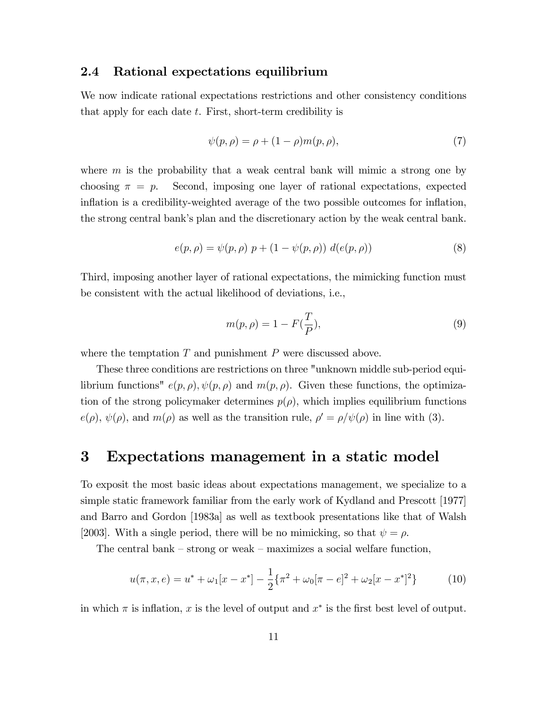### 2.4 Rational expectations equilibrium

We now indicate rational expectations restrictions and other consistency conditions that apply for each date  $t$ . First, short-term credibility is

$$
\psi(p,\rho) = \rho + (1 - \rho)m(p,\rho),
$$
\n(7)

where  $m$  is the probability that a weak central bank will mimic a strong one by choosing  $\pi = p$ . Second, imposing one layer of rational expectations, expected inflation is a credibility-weighted average of the two possible outcomes for inflation, the strong central bank's plan and the discretionary action by the weak central bank.

$$
e(p, \rho) = \psi(p, \rho) \ p + (1 - \psi(p, \rho)) \ d(e(p, \rho)) \tag{8}
$$

Third, imposing another layer of rational expectations, the mimicking function must be consistent with the actual likelihood of deviations, i.e.,

$$
m(p, \rho) = 1 - F(\frac{T}{P}),\tag{9}
$$

where the temptation  $T$  and punishment  $P$  were discussed above.

These three conditions are restrictions on three "unknown middle sub-period equilibrium functions"  $e(p, \rho), \psi(p, \rho)$  and  $m(p, \rho)$ . Given these functions, the optimization of the strong policymaker determines  $p(\rho)$ , which implies equilibrium functions  $e(\rho), \psi(\rho)$ , and  $m(\rho)$  as well as the transition rule,  $\rho' = \rho/\psi(\rho)$  in line with (3).

## 3 Expectations management in a static model

To exposit the most basic ideas about expectations management, we specialize to a simple static framework familiar from the early work of Kydland and Prescott [1977] and Barro and Gordon [1983a] as well as textbook presentations like that of Walsh [2003]. With a single period, there will be no mimicking, so that  $\psi = \rho$ .

The central bank  $-$  strong or weak  $-$  maximizes a social welfare function,

$$
u(\pi, x, e) = u^* + \omega_1[x - x^*] - \frac{1}{2} \{\pi^2 + \omega_0[\pi - e]^2 + \omega_2[x - x^*]^2\}
$$
 (10)

in which  $\pi$  is inflation, x is the level of output and  $x^*$  is the first best level of output.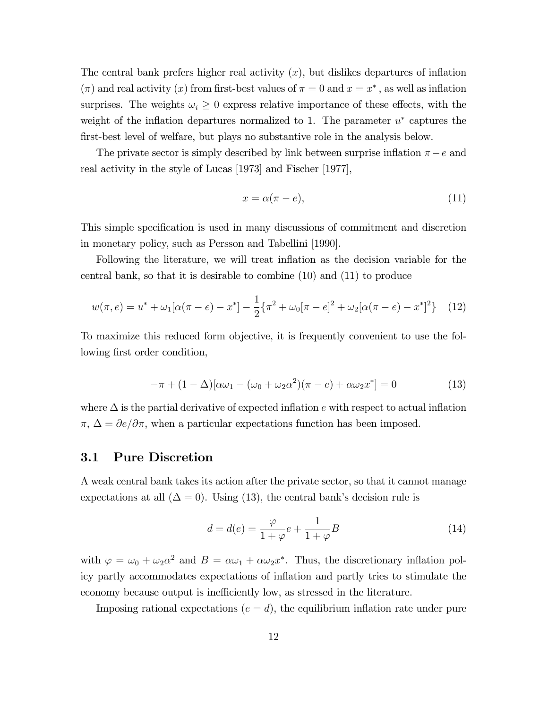The central bank prefers higher real activity  $(x)$ , but dislikes departures of inflation  $(\pi)$  and real activity  $(x)$  from first-best values of  $\pi = 0$  and  $x = x^*$ , as well as inflation surprises. The weights  $\omega_i \geq 0$  express relative importance of these effects, with the weight of the inflation departures normalized to 1. The parameter  $u^*$  captures the first-best level of welfare, but plays no substantive role in the analysis below.

The private sector is simply described by link between surprise inflation  $\pi - e$  and real activity in the style of Lucas [1973] and Fischer [1977],

$$
x = \alpha(\pi - e),\tag{11}
$$

This simple specification is used in many discussions of commitment and discretion in monetary policy, such as Persson and Tabellini [1990].

Following the literature, we will treat inflation as the decision variable for the central bank, so that it is desirable to combine (10) and (11) to produce

$$
w(\pi, e) = u^* + \omega_1[\alpha(\pi - e) - x^*] - \frac{1}{2}\{\pi^2 + \omega_0[\pi - e]^2 + \omega_2[\alpha(\pi - e) - x^*]^2\} \tag{12}
$$

To maximize this reduced form objective, it is frequently convenient to use the following first order condition,

$$
-\pi + (1 - \Delta)[\alpha\omega_1 - (\omega_0 + \omega_2\alpha^2)(\pi - e) + \alpha\omega_2 x^*] = 0
$$
\n(13)

where  $\Delta$  is the partial derivative of expected inflation e with respect to actual inflation  $\pi, \Delta = \partial e/\partial \pi$ , when a particular expectations function has been imposed.

### 3.1 Pure Discretion

A weak central bank takes its action after the private sector, so that it cannot manage expectations at all  $(\Delta = 0)$ . Using (13), the central bank's decision rule is

$$
d = d(e) = \frac{\varphi}{1 + \varphi} e + \frac{1}{1 + \varphi} B \tag{14}
$$

with  $\varphi = \omega_0 + \omega_2 \alpha^2$  and  $B = \alpha \omega_1 + \alpha \omega_2 x^*$ . Thus, the discretionary inflation policy partly accommodates expectations of inflation and partly tries to stimulate the economy because output is inefficiently low, as stressed in the literature.

Imposing rational expectations ( $e = d$ ), the equilibrium inflation rate under pure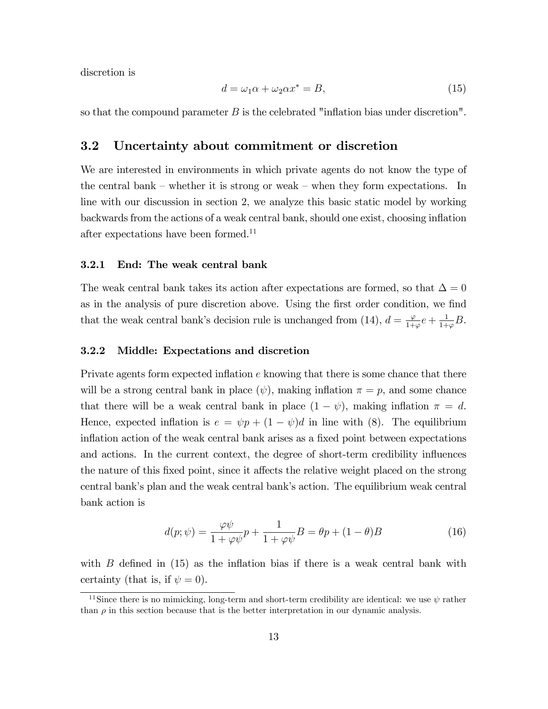discretion is

$$
d = \omega_1 \alpha + \omega_2 \alpha x^* = B,\tag{15}
$$

so that the compound parameter  $B$  is the celebrated "inflation bias under discretion".

### 3.2 Uncertainty about commitment or discretion

We are interested in environments in which private agents do not know the type of the central bank – whether it is strong or weak – when they form expectations. In line with our discussion in section 2, we analyze this basic static model by working backwards from the actions of a weak central bank, should one exist, choosing ináation after expectations have been formed.<sup>11</sup>

#### 3.2.1 End: The weak central bank

The weak central bank takes its action after expectations are formed, so that  $\Delta = 0$ as in the analysis of pure discretion above. Using the first order condition, we find that the weak central bank's decision rule is unchanged from (14),  $d = \frac{\varphi}{1+\varphi}e + \frac{1}{1+\varphi}$  $\frac{1}{1+\varphi}B.$ 

#### 3.2.2 Middle: Expectations and discretion

Private agents form expected inflation  $e$  knowing that there is some chance that there will be a strong central bank in place  $(\psi)$ , making inflation  $\pi = p$ , and some chance that there will be a weak central bank in place  $(1 - \psi)$ , making inflation  $\pi = d$ . Hence, expected inflation is  $e = \psi p + (1 - \psi) d$  in line with (8). The equilibrium inflation action of the weak central bank arises as a fixed point between expectations and actions. In the current context, the degree of short-term credibility influences the nature of this fixed point, since it affects the relative weight placed on the strong central bank's plan and the weak central bank's action. The equilibrium weak central bank action is

$$
d(p; \psi) = \frac{\varphi \psi}{1 + \varphi \psi} p + \frac{1}{1 + \varphi \psi} B = \theta p + (1 - \theta) B \tag{16}
$$

with  $B$  defined in (15) as the inflation bias if there is a weak central bank with certainty (that is, if  $\psi = 0$ ).

<sup>&</sup>lt;sup>11</sup>Since there is no mimicking, long-term and short-term credibility are identical: we use  $\psi$  rather than  $\rho$  in this section because that is the better interpretation in our dynamic analysis.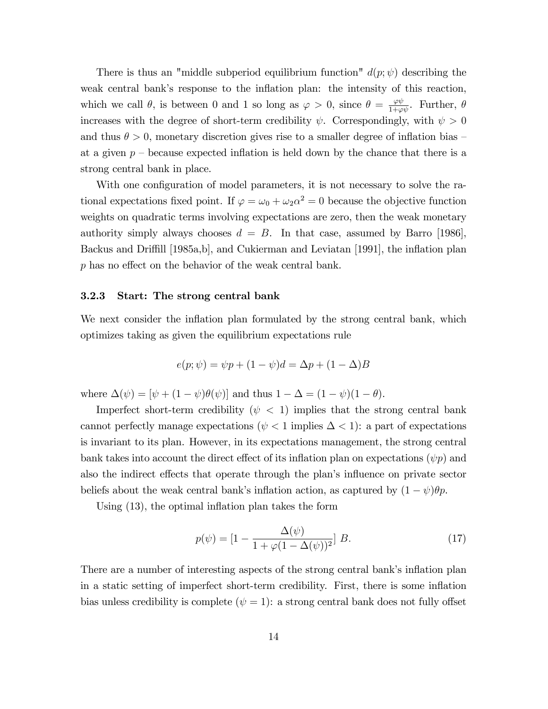There is thus an "middle subperiod equilibrium function"  $d(p; \psi)$  describing the weak central bank's response to the inflation plan: the intensity of this reaction, which we call  $\theta$ , is between 0 and 1 so long as  $\varphi > 0$ , since  $\theta = \frac{\varphi \psi}{1 + \varphi \psi}$ . Further,  $\theta$ increases with the degree of short-term credibility  $\psi$ . Correspondingly, with  $\psi > 0$ and thus  $\theta > 0$ , monetary discretion gives rise to a smaller degree of inflation bias – at a given  $p$  – because expected inflation is held down by the chance that there is a strong central bank in place.

With one configuration of model parameters, it is not necessary to solve the rational expectations fixed point. If  $\varphi = \omega_0 + \omega_2 \alpha^2 = 0$  because the objective function weights on quadratic terms involving expectations are zero, then the weak monetary authority simply always chooses  $d = B$ . In that case, assumed by Barro [1986], Backus and Driffill [1985a,b], and Cukierman and Leviatan [1991], the inflation plan  $p$  has no effect on the behavior of the weak central bank.

#### 3.2.3 Start: The strong central bank

We next consider the inflation plan formulated by the strong central bank, which optimizes taking as given the equilibrium expectations rule

$$
e(p; \psi) = \psi p + (1 - \psi)d = \Delta p + (1 - \Delta)B
$$

where  $\Delta(\psi) = [\psi + (1 - \psi)\theta(\psi)]$  and thus  $1 - \Delta = (1 - \psi)(1 - \theta)$ .

Imperfect short-term credibility ( $\psi$  < 1) implies that the strong central bank cannot perfectly manage expectations ( $\psi$  < 1 implies  $\Delta$  < 1): a part of expectations is invariant to its plan. However, in its expectations management, the strong central bank takes into account the direct effect of its inflation plan on expectations  $(\psi p)$  and also the indirect effects that operate through the plan's influence on private sector beliefs about the weak central bank's inflation action, as captured by  $(1 - \psi)\theta p$ .

Using  $(13)$ , the optimal inflation plan takes the form

$$
p(\psi) = [1 - \frac{\Delta(\psi)}{1 + \varphi(1 - \Delta(\psi))^2}] B.
$$
 (17)

There are a number of interesting aspects of the strong central bank's inflation plan in a static setting of imperfect short-term credibility. First, there is some ináation bias unless credibility is complete  $(\psi = 1)$ : a strong central bank does not fully offset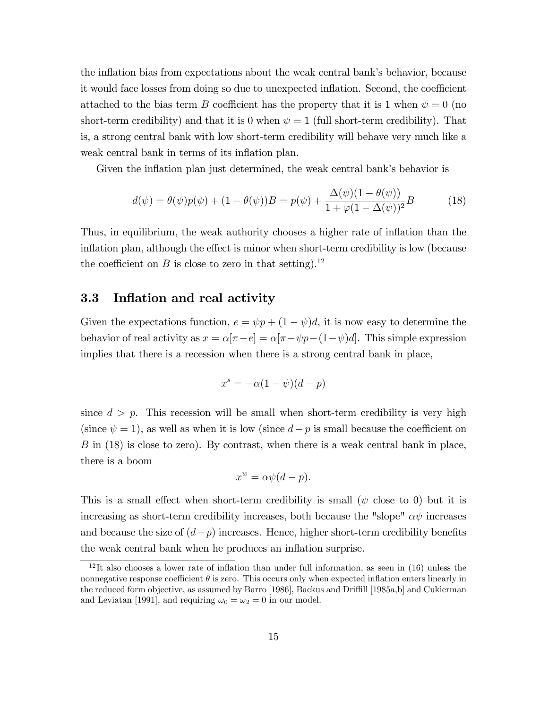the inflation bias from expectations about the weak central bank's behavior, because it would face losses from doing so due to unexpected inflation. Second, the coefficient attached to the bias term B coefficient has the property that it is 1 when  $\psi = 0$  (no short-term credibility) and that it is 0 when  $\psi = 1$  (full short-term credibility). That is, a strong central bank with low short-term credibility will behave very much like a weak central bank in terms of its inflation plan.

Given the inflation plan just determined, the weak central bank's behavior is

$$
d(\psi) = \theta(\psi)p(\psi) + (1 - \theta(\psi))B = p(\psi) + \frac{\Delta(\psi)(1 - \theta(\psi))}{1 + \varphi(1 - \Delta(\psi))^2}B
$$
(18)

Thus, in equilibrium, the weak authority chooses a higher rate of inflation than the inflation plan, although the effect is minor when short-term credibility is low (because the coefficient on B is close to zero in that setting).<sup>12</sup>

### 3.3 Inflation and real activity

Given the expectations function,  $e = \psi p + (1 - \psi)d$ , it is now easy to determine the behavior of real activity as  $x = \alpha[\pi - e] = \alpha[\pi - \psi p - (1 - \psi)d]$ . This simple expression implies that there is a recession when there is a strong central bank in place,

$$
x^s = -\alpha(1 - \psi)(d - p)
$$

since  $d > p$ . This recession will be small when short-term credibility is very high (since  $\psi = 1$ ), as well as when it is low (since  $d - p$  is small because the coefficient on B in (18) is close to zero). By contrast, when there is a weak central bank in place, there is a boom

$$
x^w = \alpha \psi(d - p).
$$

This is a small effect when short-term credibility is small ( $\psi$  close to 0) but it is increasing as short-term credibility increases, both because the "slope"  $\alpha\psi$  increases and because the size of  $(d-p)$  increases. Hence, higher short-term credibility benefits the weak central bank when he produces an inflation surprise.

 $12$ It also chooses a lower rate of inflation than under full information, as seen in (16) unless the nonnegative response coefficient  $\theta$  is zero. This occurs only when expected inflation enters linearly in the reduced form objective, as assumed by Barro [1986], Backus and Driffill [1985a,b] and Cukierman and Leviatan [1991], and requiring  $\omega_0 = \omega_2 = 0$  in our model.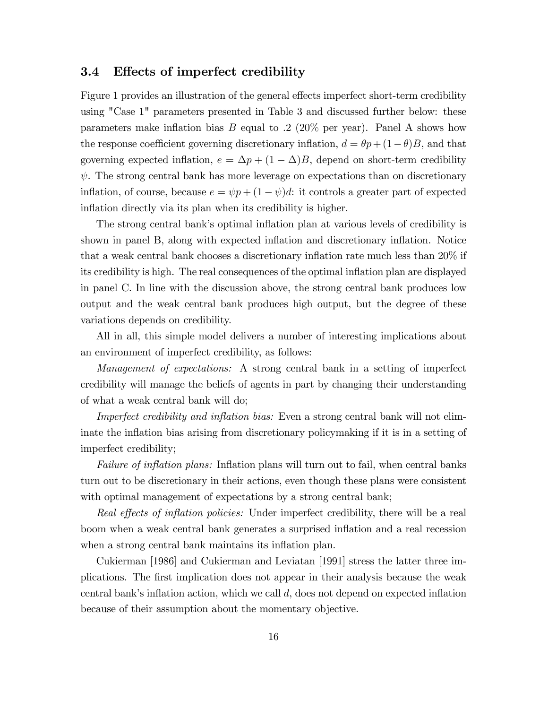### 3.4 Effects of imperfect credibility

Figure 1 provides an illustration of the general effects imperfect short-term credibility using "Case 1" parameters presented in Table 3 and discussed further below: these parameters make inflation bias  $B$  equal to .2 (20% per year). Panel A shows how the response coefficient governing discretionary inflation,  $d = \theta p + (1-\theta)B$ , and that governing expected inflation,  $e = \Delta p + (1 - \Delta)B$ , depend on short-term credibility  $\psi$ . The strong central bank has more leverage on expectations than on discretionary inflation, of course, because  $e = \psi p + (1 - \psi) d$ : it controls a greater part of expected inflation directly via its plan when its credibility is higher.

The strong central bank's optimal inflation plan at various levels of credibility is shown in panel B, along with expected inflation and discretionary inflation. Notice that a weak central bank chooses a discretionary inflation rate much less than  $20\%$  if its credibility is high. The real consequences of the optimal ináation plan are displayed in panel C. In line with the discussion above, the strong central bank produces low output and the weak central bank produces high output, but the degree of these variations depends on credibility.

All in all, this simple model delivers a number of interesting implications about an environment of imperfect credibility, as follows:

Management of expectations: A strong central bank in a setting of imperfect credibility will manage the beliefs of agents in part by changing their understanding of what a weak central bank will do;

Imperfect credibility and inflation bias: Even a strong central bank will not eliminate the inflation bias arising from discretionary policymaking if it is in a setting of imperfect credibility;

Failure of inflation plans: Inflation plans will turn out to fail, when central banks turn out to be discretionary in their actions, even though these plans were consistent with optimal management of expectations by a strong central bank;

Real effects of inflation policies: Under imperfect credibility, there will be a real boom when a weak central bank generates a surprised ináation and a real recession when a strong central bank maintains its inflation plan.

Cukierman [1986] and Cukierman and Leviatan [1991] stress the latter three implications. The Örst implication does not appear in their analysis because the weak central bank's inflation action, which we call  $d$ , does not depend on expected inflation because of their assumption about the momentary objective.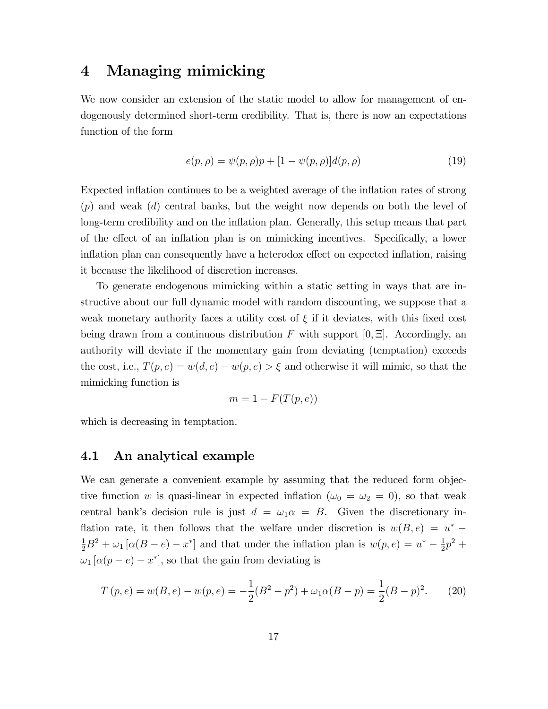## 4 Managing mimicking

We now consider an extension of the static model to allow for management of endogenously determined short-term credibility. That is, there is now an expectations function of the form

$$
e(p, \rho) = \psi(p, \rho)p + [1 - \psi(p, \rho)]d(p, \rho)
$$
\n(19)

Expected inflation continues to be a weighted average of the inflation rates of strong  $(p)$  and weak  $(d)$  central banks, but the weight now depends on both the level of long-term credibility and on the inflation plan. Generally, this setup means that part of the effect of an inflation plan is on mimicking incentives. Specifically, a lower inflation plan can consequently have a heterodox effect on expected inflation, raising it because the likelihood of discretion increases.

To generate endogenous mimicking within a static setting in ways that are instructive about our full dynamic model with random discounting, we suppose that a weak monetary authority faces a utility cost of  $\xi$  if it deviates, with this fixed cost being drawn from a continuous distribution F with support  $[0, \Xi]$ . Accordingly, an authority will deviate if the momentary gain from deviating (temptation) exceeds the cost, i.e.,  $T(p, e) = w(d, e) - w(p, e) > \xi$  and otherwise it will mimic, so that the mimicking function is

$$
m = 1 - F(T(p, e))
$$

which is decreasing in temptation.

### 4.1 An analytical example

We can generate a convenient example by assuming that the reduced form objective function w is quasi-linear in expected inflation ( $\omega_0 = \omega_2 = 0$ ), so that weak central bank's decision rule is just  $d = \omega_1 \alpha = B$ . Given the discretionary inflation rate, it then follows that the welfare under discretion is  $w(B, e) = u^*$  $\frac{1}{2}B^2 + \omega_1 [\alpha (B - e) - x^*]$  and that under the inflation plan is  $w(p, e) = u^* - \frac{1}{2}$  $\frac{1}{2}p^2 +$  $\omega_1 [\alpha(p - e) - x^*]$ , so that the gain from deviating is

$$
T(p,e) = w(B,e) - w(p,e) = -\frac{1}{2}(B^2 - p^2) + \omega_1 \alpha (B - p) = \frac{1}{2}(B - p)^2.
$$
 (20)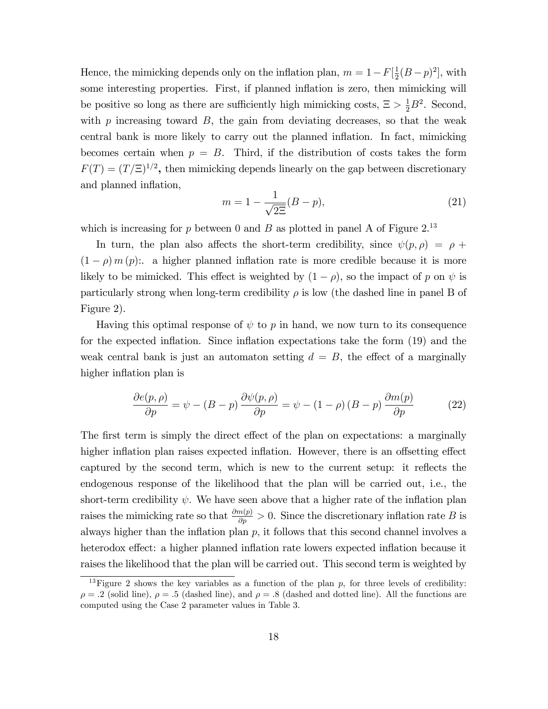Hence, the mimicking depends only on the inflation plan,  $m = 1 - F[\frac{1}{2}]$  $\frac{1}{2}(B-p)^2$ , with some interesting properties. First, if planned inflation is zero, then mimicking will be positive so long as there are sufficiently high mimicking costs,  $\Xi > \frac{1}{2}B^2$ . Second, with  $p$  increasing toward  $B$ , the gain from deviating decreases, so that the weak central bank is more likely to carry out the planned inflation. In fact, mimicking becomes certain when  $p = B$ . Third, if the distribution of costs takes the form  $F(T) = (T/\Xi)^{1/2}$ , then mimicking depends linearly on the gap between discretionary and planned inflation,

$$
m = 1 - \frac{1}{\sqrt{2\Xi}}(B - p),
$$
\n(21)

which is increasing for p between 0 and B as plotted in panel A of Figure  $2^{13}$ 

In turn, the plan also affects the short-term credibility, since  $\psi(p, \rho) = \rho + \frac{1}{2}$  $(1 - \rho) m (p)$ : a higher planned inflation rate is more credible because it is more likely to be mimicked. This effect is weighted by  $(1 - \rho)$ , so the impact of p on  $\psi$  is particularly strong when long-term credibility  $\rho$  is low (the dashed line in panel B of Figure 2).

Having this optimal response of  $\psi$  to p in hand, we now turn to its consequence for the expected ináation. Since ináation expectations take the form (19) and the weak central bank is just an automaton setting  $d = B$ , the effect of a marginally higher inflation plan is

$$
\frac{\partial e(p,\rho)}{\partial p} = \psi - (B - p) \frac{\partial \psi(p,\rho)}{\partial p} = \psi - (1 - \rho) (B - p) \frac{\partial m(p)}{\partial p}
$$
(22)

The first term is simply the direct effect of the plan on expectations: a marginally higher inflation plan raises expected inflation. However, there is an offsetting effect captured by the second term, which is new to the current setup: it reflects the endogenous response of the likelihood that the plan will be carried out, i.e., the short-term credibility  $\psi$ . We have seen above that a higher rate of the inflation plan raises the mimicking rate so that  $\frac{\partial m(p)}{\partial p} > 0$ . Since the discretionary inflation rate B is always higher than the inflation plan  $p$ , it follows that this second channel involves a heterodox effect: a higher planned inflation rate lowers expected inflation because it raises the likelihood that the plan will be carried out. This second term is weighted by

<sup>&</sup>lt;sup>13</sup>Figure 2 shows the key variables as a function of the plan  $p$ , for three levels of credibility:  $\rho = .2$  (solid line),  $\rho = .5$  (dashed line), and  $\rho = .8$  (dashed and dotted line). All the functions are computed using the Case 2 parameter values in Table 3.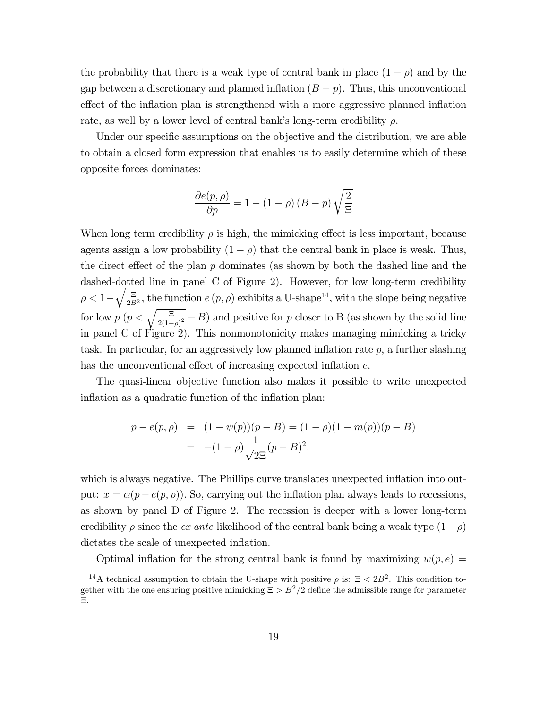the probability that there is a weak type of central bank in place  $(1 - \rho)$  and by the gap between a discretionary and planned inflation  $(B - p)$ . Thus, this unconventional effect of the inflation plan is strengthened with a more aggressive planned inflation rate, as well by a lower level of central bank's long-term credibility  $\rho$ .

Under our specific assumptions on the objective and the distribution, we are able to obtain a closed form expression that enables us to easily determine which of these opposite forces dominates:

$$
\frac{\partial e(p,\rho)}{\partial p} = 1 - (1 - \rho) (B - p) \sqrt{\frac{2}{\Xi}}
$$

When long term credibility  $\rho$  is high, the mimicking effect is less important, because agents assign a low probability  $(1 - \rho)$  that the central bank in place is weak. Thus, the direct effect of the plan  $p$  dominates (as shown by both the dashed line and the dashed-dotted line in panel C of Figure 2). However, for low long-term credibility  $\rho < 1 - \sqrt{\frac{\Xi}{2B}}$  $\frac{\Xi}{2B^2}$ , the function  $e(p, \rho)$  exhibits a U-shape<sup>14</sup>, with the slope being negative for low  $p \left( p < \sqrt{\frac{\epsilon}{2(1-\rho)^2}} - B \right)$  and positive for p closer to B (as shown by the solid line in panel C of Figure 2). This nonmonotonicity makes managing mimicking a tricky task. In particular, for an aggressively low planned inflation rate  $p$ , a further slashing has the unconventional effect of increasing expected inflation  $e$ .

The quasi-linear objective function also makes it possible to write unexpected inflation as a quadratic function of the inflation plan:

$$
p - e(p, \rho) = (1 - \psi(p))(p - B) = (1 - \rho)(1 - m(p))(p - B)
$$
  
= -(1 - \rho)\frac{1}{\sqrt{2\Xi}}(p - B)^2.

which is always negative. The Phillips curve translates unexpected inflation into output:  $x = \alpha(p - e(p, \rho))$ . So, carrying out the inflation plan always leads to recessions, as shown by panel D of Figure 2. The recession is deeper with a lower long-term credibility  $\rho$  since the *ex ante* likelihood of the central bank being a weak type  $(1-\rho)$ dictates the scale of unexpected inflation.

Optimal inflation for the strong central bank is found by maximizing  $w(p, e)$ 

<sup>&</sup>lt;sup>14</sup>A technical assumption to obtain the U-shape with positive  $\rho$  is:  $\Xi < 2B^2$ . This condition together with the one ensuring positive mimicking  $\Xi > B^2/2$  define the admissible range for parameter Ξ.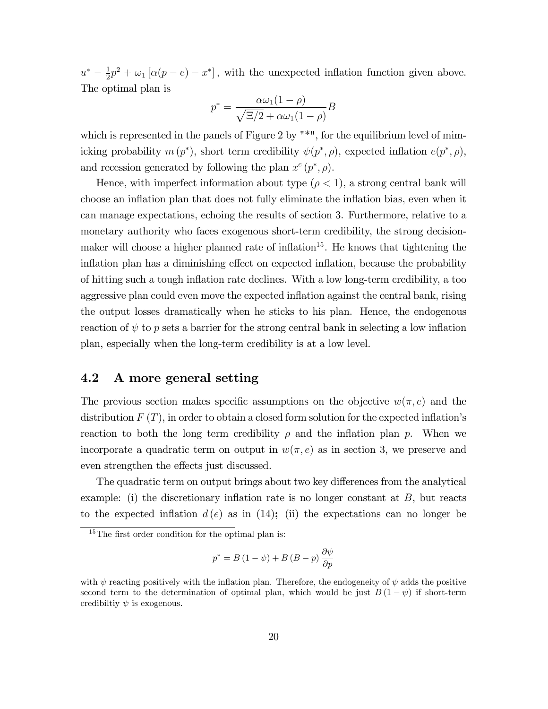$u^* - \frac{1}{2}$  $\frac{1}{2}p^2 + \omega_1[\alpha(p-e)-x^*],$  with the unexpected inflation function given above. The optimal plan is

$$
p^* = \frac{\alpha \omega_1 (1 - \rho)}{\sqrt{\Xi/2} + \alpha \omega_1 (1 - \rho)} B
$$

which is represented in the panels of Figure 2 by  $\mathbb{R}^*$ , for the equilibrium level of mimicking probability  $m(p^*)$ , short term credibility  $\psi(p^*, \rho)$ , expected inflation  $e(p^*, \rho)$ , and recession generated by following the plan  $x^c(p^*, \rho)$ .

Hence, with imperfect information about type  $(\rho < 1)$ , a strong central bank will choose an inflation plan that does not fully eliminate the inflation bias, even when it can manage expectations, echoing the results of section 3. Furthermore, relative to a monetary authority who faces exogenous short-term credibility, the strong decisionmaker will choose a higher planned rate of inflation<sup>15</sup>. He knows that tightening the inflation plan has a diminishing effect on expected inflation, because the probability of hitting such a tough ináation rate declines. With a low long-term credibility, a too aggressive plan could even move the expected inflation against the central bank, rising the output losses dramatically when he sticks to his plan. Hence, the endogenous reaction of  $\psi$  to p sets a barrier for the strong central bank in selecting a low inflation plan, especially when the long-term credibility is at a low level.

## 4.2 A more general setting

The previous section makes specific assumptions on the objective  $w(\pi, e)$  and the distribution  $F(T)$ , in order to obtain a closed form solution for the expected inflation's reaction to both the long term credibility  $\rho$  and the inflation plan p. When we incorporate a quadratic term on output in  $w(\pi, e)$  as in section 3, we preserve and even strengthen the effects just discussed.

The quadratic term on output brings about two key differences from the analytical example: (i) the discretionary inflation rate is no longer constant at  $B$ , but reacts to the expected inflation  $d(e)$  as in (14); (ii) the expectations can no longer be

$$
p^* = B(1 - \psi) + B(B - p)\frac{\partial \psi}{\partial p}
$$

 $15$ The first order condition for the optimal plan is:

with  $\psi$  reacting positively with the inflation plan. Therefore, the endogeneity of  $\psi$  adds the positive second term to the determination of optimal plan, which would be just  $B(1 - \psi)$  if short-term credibiltiy  $\psi$  is exogenous.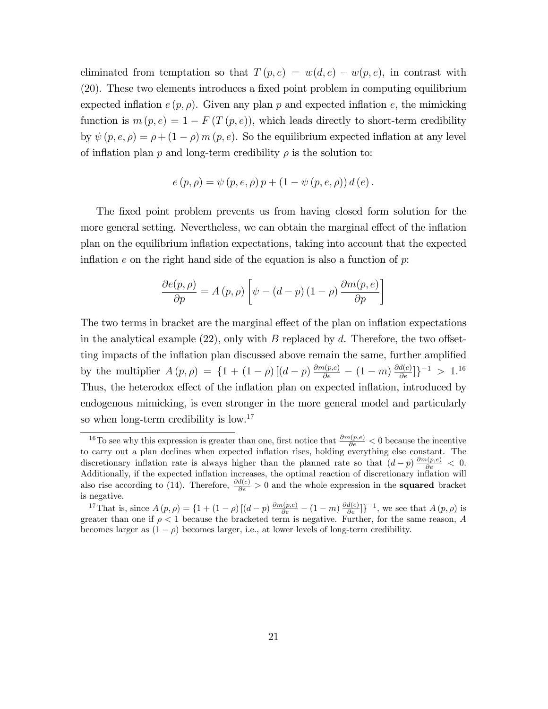eliminated from temptation so that  $T(p, e) = w(d, e) - w(p, e)$ , in contrast with (20). These two elements introduces a Öxed point problem in computing equilibrium expected inflation  $e(p, \rho)$ . Given any plan p and expected inflation e, the mimicking function is  $m(p, e) = 1 - F(T(p, e))$ , which leads directly to short-term credibility by  $\psi(p, e, \rho) = \rho + (1 - \rho) m(p, e)$ . So the equilibrium expected inflation at any level of inflation plan p and long-term credibility  $\rho$  is the solution to:

$$
e(p, \rho) = \psi(p, e, \rho) p + (1 - \psi(p, e, \rho)) d(e).
$$

The fixed point problem prevents us from having closed form solution for the more general setting. Nevertheless, we can obtain the marginal effect of the inflation plan on the equilibrium ináation expectations, taking into account that the expected inflation e on the right hand side of the equation is also a function of  $p$ .

$$
\frac{\partial e(p,\rho)}{\partial p} = A(p,\rho) \left[ \psi - (d-p)(1-\rho) \frac{\partial m(p,e)}{\partial p} \right]
$$

The two terms in bracket are the marginal effect of the plan on inflation expectations in the analytical example  $(22)$ , only with B replaced by d. Therefore, the two offsetting impacts of the inflation plan discussed above remain the same, further amplified by the multiplier  $A(p, \rho) = \{1 + (1 - \rho) \left[ (d - p) \frac{\partial m(p, e)}{\partial e} - (1 - m) \frac{\partial d(e)}{\partial e} \right] \}^{-1} > 1$ .<sup>16</sup> Thus, the heterodox effect of the inflation plan on expected inflation, introduced by endogenous mimicking, is even stronger in the more general model and particularly so when long-term credibility is low.<sup>17</sup>

<sup>&</sup>lt;sup>16</sup>To see why this expression is greater than one, first notice that  $\frac{\partial m(p,e)}{\partial e} < 0$  because the incentive to carry out a plan declines when expected inflation rises, holding everything else constant. The discretionary inflation rate is always higher than the planned rate so that  $(d-p)\frac{\partial m(p,e)}{\partial e} < 0$ . Additionally, if the expected inflation increases, the optimal reaction of discretionary inflation will also rise according to (14). Therefore,  $\frac{\partial d(e)}{\partial e} > 0$  and the whole expression in the **squared** bracket is negative.

<sup>&</sup>lt;sup>17</sup>That is, since  $A(p,\rho) = \left\{1 + (1-\rho)\left[(d-p)\frac{\partial m(p,e)}{\partial e} - (1-m)\frac{\partial d(e)}{\partial e}\right]\right\}^{-1}$ , we see that  $A(p,\rho)$  is greater than one if  $\rho < 1$  because the bracketed term is negative. Further, for the same reason, A becomes larger as  $(1 - \rho)$  becomes larger, i.e., at lower levels of long-term credibility.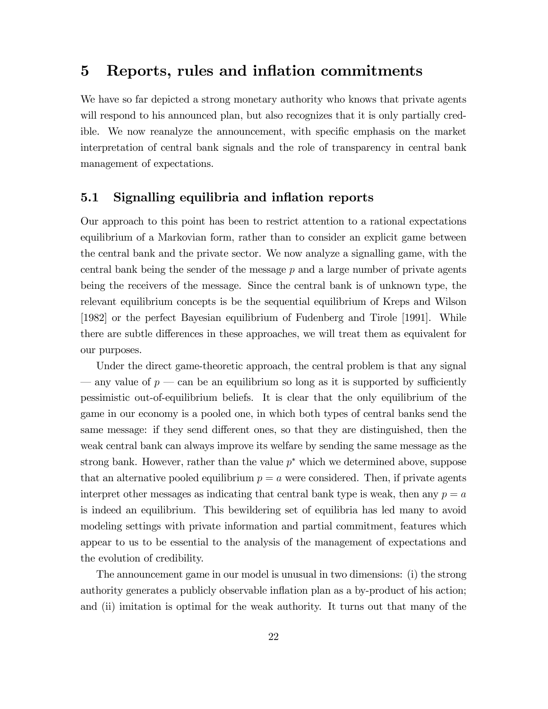## 5 Reports, rules and inflation commitments

We have so far depicted a strong monetary authority who knows that private agents will respond to his announced plan, but also recognizes that it is only partially credible. We now reanalyze the announcement, with specific emphasis on the market interpretation of central bank signals and the role of transparency in central bank management of expectations.

## 5.1 Signalling equilibria and inflation reports

Our approach to this point has been to restrict attention to a rational expectations equilibrium of a Markovian form, rather than to consider an explicit game between the central bank and the private sector. We now analyze a signalling game, with the central bank being the sender of the message  $p$  and a large number of private agents being the receivers of the message. Since the central bank is of unknown type, the relevant equilibrium concepts is be the sequential equilibrium of Kreps and Wilson [1982] or the perfect Bayesian equilibrium of Fudenberg and Tirole [1991]. While there are subtle differences in these approaches, we will treat them as equivalent for our purposes.

Under the direct game-theoretic approach, the central problem is that any signal  $\overline{\phantom{a}}$  any value of  $p$   $\overline{\phantom{a}}$  can be an equilibrium so long as it is supported by sufficiently pessimistic out-of-equilibrium beliefs. It is clear that the only equilibrium of the game in our economy is a pooled one, in which both types of central banks send the same message: if they send different ones, so that they are distinguished, then the weak central bank can always improve its welfare by sending the same message as the strong bank. However, rather than the value  $p^*$  which we determined above, suppose that an alternative pooled equilibrium  $p = a$  were considered. Then, if private agents interpret other messages as indicating that central bank type is weak, then any  $p = a$ is indeed an equilibrium. This bewildering set of equilibria has led many to avoid modeling settings with private information and partial commitment, features which appear to us to be essential to the analysis of the management of expectations and the evolution of credibility.

The announcement game in our model is unusual in two dimensions: (i) the strong authority generates a publicly observable inflation plan as a by-product of his action; and (ii) imitation is optimal for the weak authority. It turns out that many of the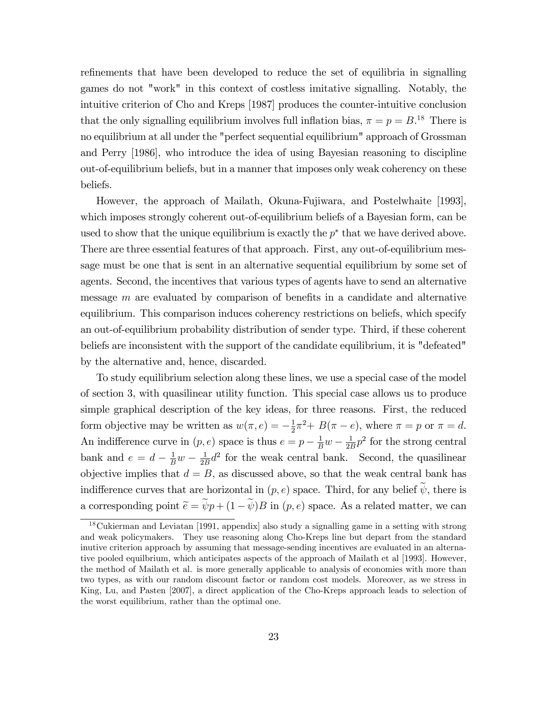refinements that have been developed to reduce the set of equilibria in signalling games do not "work" in this context of costless imitative signalling. Notably, the intuitive criterion of Cho and Kreps [1987] produces the counter-intuitive conclusion that the only signalling equilibrium involves full inflation bias,  $\pi = p = B^{18}$ . There is no equilibrium at all under the "perfect sequential equilibrium" approach of Grossman and Perry [1986], who introduce the idea of using Bayesian reasoning to discipline out-of-equilibrium beliefs, but in a manner that imposes only weak coherency on these beliefs.

However, the approach of Mailath, Okuna-Fujiwara, and Postelwhaite [1993], which imposes strongly coherent out-of-equilibrium beliefs of a Bayesian form, can be used to show that the unique equilibrium is exactly the  $p^*$  that we have derived above. There are three essential features of that approach. First, any out-of-equilibrium message must be one that is sent in an alternative sequential equilibrium by some set of agents. Second, the incentives that various types of agents have to send an alternative message  $m$  are evaluated by comparison of benefits in a candidate and alternative equilibrium. This comparison induces coherency restrictions on beliefs, which specify an out-of-equilibrium probability distribution of sender type. Third, if these coherent beliefs are inconsistent with the support of the candidate equilibrium, it is "defeated" by the alternative and, hence, discarded.

To study equilibrium selection along these lines, we use a special case of the model of section 3, with quasilinear utility function. This special case allows us to produce simple graphical description of the key ideas, for three reasons. First, the reduced form objective may be written as  $w(\pi, e) = -\frac{1}{2}$  $\frac{1}{2}\pi^2 + B(\pi - e)$ , where  $\pi = p$  or  $\pi = d$ . An indifference curve in  $(p, e)$  space is thus  $e = p - \frac{1}{B}w - \frac{1}{2B}$  $\frac{1}{2B}p^2$  for the strong central bank and  $e = d - \frac{1}{B}w - \frac{1}{2B}$  $\frac{1}{2B}d^2$  for the weak central bank. Second, the quasilinear objective implies that  $d = B$ , as discussed above, so that the weak central bank has indifference curves that are horizontal in  $(p, e)$  space. Third, for any belief  $\widetilde{\psi}$ , there is a corresponding point  $\tilde{e} = \tilde{\psi} p + (1 - \tilde{\psi})B$  in  $(p, e)$  space. As a related matter, we can

<sup>18</sup>Cukierman and Leviatan [1991, appendix] also study a signalling game in a setting with strong and weak policymakers. They use reasoning along Cho-Kreps line but depart from the standard inutive criterion approach by assuming that message-sending incentives are evaluated in an alternative pooled equilbrium, which anticipates aspects of the approach of Mailath et al [1993]. However, the method of Mailath et al. is more generally applicable to analysis of economies with more than two types, as with our random discount factor or random cost models. Moreover, as we stress in King, Lu, and Pasten [2007], a direct application of the Cho-Kreps approach leads to selection of the worst equilibrium, rather than the optimal one.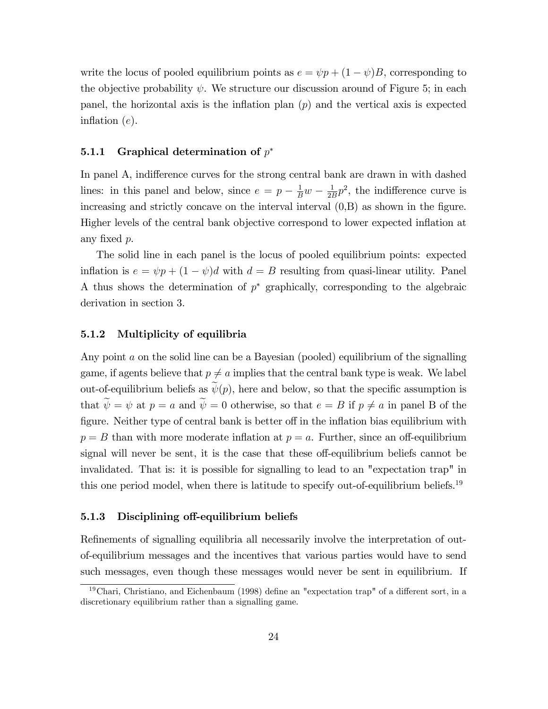write the locus of pooled equilibrium points as  $e = \psi p + (1 - \psi)B$ , corresponding to the objective probability  $\psi$ . We structure our discussion around of Figure 5; in each panel, the horizontal axis is the inflation plan  $(p)$  and the vertical axis is expected inflation  $(e)$ .

### 5.1.1 Graphical determination of  $p^*$

In panel A, indifference curves for the strong central bank are drawn in with dashed lines: in this panel and below, since  $e = p - \frac{1}{B}w - \frac{1}{2B}$  $\frac{1}{2B}p^2$ , the indifference curve is increasing and strictly concave on the interval interval  $(0,B)$  as shown in the figure. Higher levels of the central bank objective correspond to lower expected ináation at any fixed  $p$ .

The solid line in each panel is the locus of pooled equilibrium points: expected inflation is  $e = \psi p + (1 - \psi)d$  with  $d = B$  resulting from quasi-linear utility. Panel A thus shows the determination of  $p^*$  graphically, corresponding to the algebraic derivation in section 3.

### 5.1.2 Multiplicity of equilibria

Any point a on the solid line can be a Bayesian (pooled) equilibrium of the signalling game, if agents believe that  $p \neq a$  implies that the central bank type is weak. We label out-of-equilibrium beliefs as  $\widetilde{\psi}(p)$ , here and below, so that the specific assumption is that  $\widetilde{\psi} = \psi$  at  $p = a$  and  $\widetilde{\psi} = 0$  otherwise, so that  $e = B$  if  $p \neq a$  in panel B of the figure. Neither type of central bank is better off in the inflation bias equilibrium with  $p = B$  than with more moderate inflation at  $p = a$ . Further, since an off-equilibrium signal will never be sent, it is the case that these off-equilibrium beliefs cannot be invalidated. That is: it is possible for signalling to lead to an "expectation trap" in this one period model, when there is latitude to specify out-of-equilibrium beliefs.<sup>19</sup>

#### 5.1.3 Disciplining off-equilibrium beliefs

Refinements of signalling equilibria all necessarily involve the interpretation of outof-equilibrium messages and the incentives that various parties would have to send such messages, even though these messages would never be sent in equilibrium. If

<sup>&</sup>lt;sup>19</sup>Chari, Christiano, and Eichenbaum (1998) define an "expectation trap" of a different sort, in a discretionary equilibrium rather than a signalling game.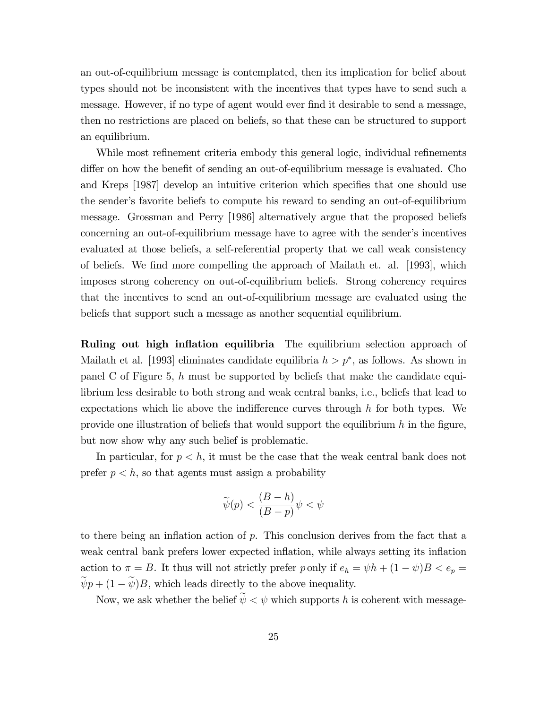an out-of-equilibrium message is contemplated, then its implication for belief about types should not be inconsistent with the incentives that types have to send such a message. However, if no type of agent would ever find it desirable to send a message, then no restrictions are placed on beliefs, so that these can be structured to support an equilibrium.

While most refinement criteria embody this general logic, individual refinements differ on how the benefit of sending an out-of-equilibrium message is evaluated. Cho and Kreps [1987] develop an intuitive criterion which specifies that one should use the sender's favorite beliefs to compute his reward to sending an out-of-equilibrium message. Grossman and Perry [1986] alternatively argue that the proposed beliefs concerning an out-of-equilibrium message have to agree with the sender's incentives evaluated at those beliefs, a self-referential property that we call weak consistency of beliefs. We Önd more compelling the approach of Mailath et. al. [1993], which imposes strong coherency on out-of-equilibrium beliefs. Strong coherency requires that the incentives to send an out-of-equilibrium message are evaluated using the beliefs that support such a message as another sequential equilibrium.

**Ruling out high inflation equilibria** The equilibrium selection approach of Mailath et al. [1993] eliminates candidate equilibria  $h > p^*$ , as follows. As shown in panel C of Figure 5, h must be supported by beliefs that make the candidate equilibrium less desirable to both strong and weak central banks, i.e., beliefs that lead to expectations which lie above the indifference curves through  $h$  for both types. We provide one illustration of beliefs that would support the equilibrium  $h$  in the figure, but now show why any such belief is problematic.

In particular, for  $p < h$ , it must be the case that the weak central bank does not prefer  $p < h$ , so that agents must assign a probability

$$
\widetilde{\psi}(p) < \frac{(B-h)}{(B-p)} \psi < \psi
$$

to there being an inflation action of  $p$ . This conclusion derives from the fact that a weak central bank prefers lower expected inflation, while always setting its inflation action to  $\pi = B$ . It thus will not strictly prefer p only if  $e_h = \psi h + (1 - \psi)B < e_p$  $\widetilde{\psi}p + (1 - \widetilde{\psi})B$ , which leads directly to the above inequality.

Now, we ask whether the belief  $\widetilde{\psi} < \psi$  which supports h is coherent with message-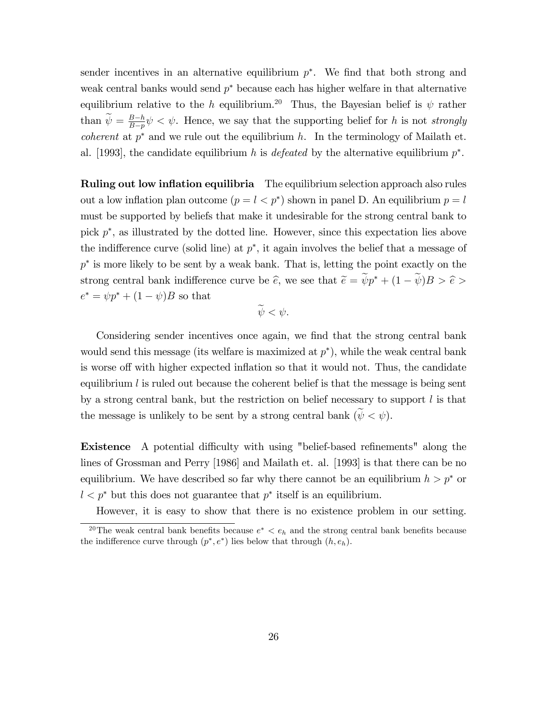sender incentives in an alternative equilibrium  $p^*$ . We find that both strong and weak central banks would send  $p^*$  because each has higher welfare in that alternative equilibrium relative to the h equilibrium.<sup>20</sup> Thus, the Bayesian belief is  $\psi$  rather than  $\widetilde{\psi} = \frac{B-h}{B-p}$  $\frac{B-h}{B-p}\psi < \psi$ . Hence, we say that the supporting belief for h is not *strongly coherent* at  $p^*$  and we rule out the equilibrium h. In the terminology of Mailath et. al. [1993], the candidate equilibrium h is *defeated* by the alternative equilibrium  $p^*$ .

**Ruling out low inflation equilibria** The equilibrium selection approach also rules out a low inflation plan outcome  $(p = l < p^*)$  shown in panel D. An equilibrium  $p = l$ must be supported by beliefs that make it undesirable for the strong central bank to pick  $p^*$ , as illustrated by the dotted line. However, since this expectation lies above the indifference curve (solid line) at  $p^*$ , it again involves the belief that a message of  $p^*$  is more likely to be sent by a weak bank. That is, letting the point exactly on the strong central bank indifference curve be  $\hat{e}$ , we see that  $\tilde{e} = \psi p^* + (1 - \psi)B > \hat{e}$  $e^* = \psi p^* + (1 - \psi)B$  so that

$$
\widetilde{\psi}<\psi.
$$

Considering sender incentives once again, we find that the strong central bank would send this message (its welfare is maximized at  $p^*$ ), while the weak central bank is worse off with higher expected inflation so that it would not. Thus, the candidate equilibrium  $l$  is ruled out because the coherent belief is that the message is being sent by a strong central bank, but the restriction on belief necessary to support  $l$  is that the message is unlikely to be sent by a strong central bank  $(\tilde{\psi} \lt \psi)$ .

**Existence** A potential difficulty with using "belief-based refinements" along the lines of Grossman and Perry [1986] and Mailath et. al. [1993] is that there can be no equilibrium. We have described so far why there cannot be an equilibrium  $h > p^*$  or  $l < p^*$  but this does not guarantee that  $p^*$  itself is an equilibrium.

However, it is easy to show that there is no existence problem in our setting.

<sup>&</sup>lt;sup>20</sup>The weak central bank benefits because  $e^* < e_h$  and the strong central bank benefits because the indifference curve through  $(p^*, e^*)$  lies below that through  $(h, e_h)$ .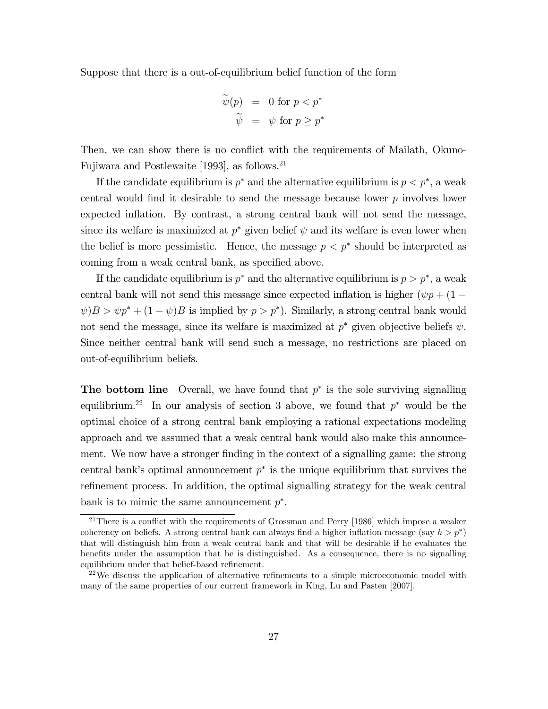Suppose that there is a out-of-equilibrium belief function of the form

$$
\begin{array}{rcl}\n\widetilde{\psi}(p) & = & 0 \text{ for } p < p^* \\
\widetilde{\psi} & = & \psi \text{ for } p \ge p^*\n\end{array}
$$

Then, we can show there is no conflict with the requirements of Mailath, Okuno-Fujiwara and Postlewaite [1993], as follows.<sup>21</sup>

If the candidate equilibrium is  $p^*$  and the alternative equilibrium is  $p < p^*$ , a weak central would find it desirable to send the message because lower  $p$  involves lower expected inflation. By contrast, a strong central bank will not send the message, since its welfare is maximized at  $p^*$  given belief  $\psi$  and its welfare is even lower when the belief is more pessimistic. Hence, the message  $p < p^*$  should be interpreted as coming from a weak central bank, as specified above.

If the candidate equilibrium is  $p^*$  and the alternative equilibrium is  $p > p^*$ , a weak central bank will not send this message since expected inflation is higher  $(\psi p + (1 \psi$ ) $B > \psi p^* + (1 - \psi)B$  is implied by  $p > p^*$ ). Similarly, a strong central bank would not send the message, since its welfare is maximized at  $p^*$  given objective beliefs  $\psi$ . Since neither central bank will send such a message, no restrictions are placed on out-of-equilibrium beliefs.

**The bottom line** Overall, we have found that  $p^*$  is the sole surviving signalling equilibrium.<sup>22</sup> In our analysis of section 3 above, we found that  $p^*$  would be the optimal choice of a strong central bank employing a rational expectations modeling approach and we assumed that a weak central bank would also make this announcement. We now have a stronger finding in the context of a signalling game: the strong central bank's optimal announcement  $p^*$  is the unique equilibrium that survives the refinement process. In addition, the optimal signalling strategy for the weak central bank is to mimic the same announcement  $p^*$ .

<sup>&</sup>lt;sup>21</sup>There is a conflict with the requirements of Grossman and Perry [1986] which impose a weaker coherency on beliefs. A strong central bank can always find a higher inflation message (say  $h > p^*$ ) that will distinguish him from a weak central bank and that will be desirable if he evaluates the benefits under the assumption that he is distinguished. As a consequence, there is no signalling equilibrium under that belief-based refinement.

 $2<sup>22</sup>$ We discuss the application of alternative refinements to a simple microeconomic model with many of the same properties of our current framework in King, Lu and Pasten [2007].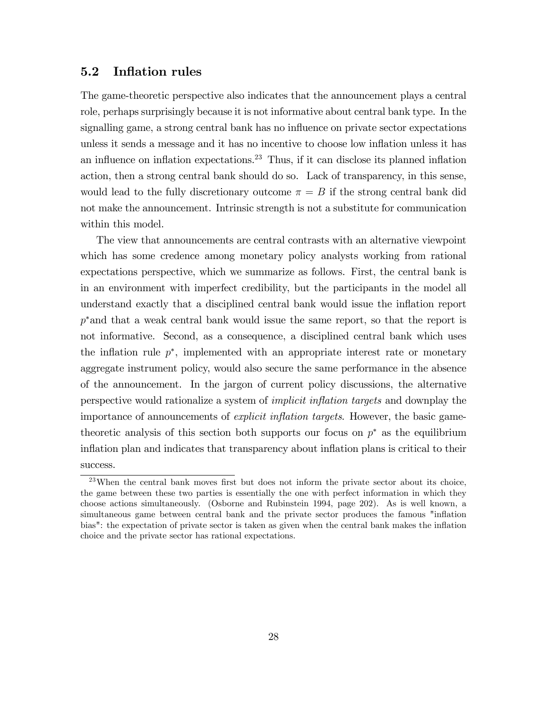### 5.2 Inflation rules

The game-theoretic perspective also indicates that the announcement plays a central role, perhaps surprisingly because it is not informative about central bank type. In the signalling game, a strong central bank has no influence on private sector expectations unless it sends a message and it has no incentive to choose low inflation unless it has an influence on inflation expectations.<sup>23</sup> Thus, if it can disclose its planned inflation action, then a strong central bank should do so. Lack of transparency, in this sense, would lead to the fully discretionary outcome  $\pi = B$  if the strong central bank did not make the announcement. Intrinsic strength is not a substitute for communication within this model.

The view that announcements are central contrasts with an alternative viewpoint which has some credence among monetary policy analysts working from rational expectations perspective, which we summarize as follows. First, the central bank is in an environment with imperfect credibility, but the participants in the model all understand exactly that a disciplined central bank would issue the inflation report  $p^*$  and that a weak central bank would issue the same report, so that the report is not informative. Second, as a consequence, a disciplined central bank which uses the inflation rule  $p^*$ , implemented with an appropriate interest rate or monetary aggregate instrument policy, would also secure the same performance in the absence of the announcement. In the jargon of current policy discussions, the alternative perspective would rationalize a system of *implicit inflation targets* and downplay the importance of announcements of *explicit inflation targets*. However, the basic gametheoretic analysis of this section both supports our focus on  $p^*$  as the equilibrium inflation plan and indicates that transparency about inflation plans is critical to their success.

 $23$ When the central bank moves first but does not inform the private sector about its choice, the game between these two parties is essentially the one with perfect information in which they choose actions simultaneously. (Osborne and Rubinstein 1994, page 202). As is well known, a simultaneous game between central bank and the private sector produces the famous "inflation" bias": the expectation of private sector is taken as given when the central bank makes the inflation choice and the private sector has rational expectations.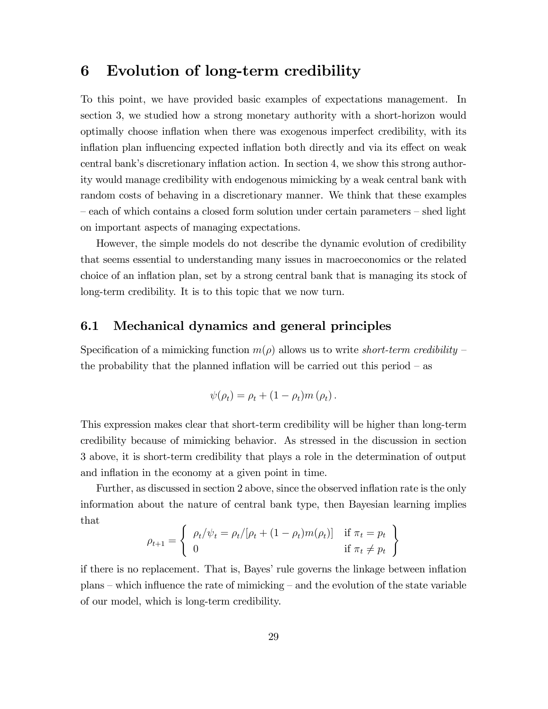## 6 Evolution of long-term credibility

To this point, we have provided basic examples of expectations management. In section 3, we studied how a strong monetary authority with a short-horizon would optimally choose ináation when there was exogenous imperfect credibility, with its inflation plan influencing expected inflation both directly and via its effect on weak central bank's discretionary inflation action. In section 4, we show this strong authority would manage credibility with endogenous mimicking by a weak central bank with random costs of behaving in a discretionary manner. We think that these examples  $\sim$  each of which contains a closed form solution under certain parameters  $\sim$  shed light on important aspects of managing expectations.

However, the simple models do not describe the dynamic evolution of credibility that seems essential to understanding many issues in macroeconomics or the related choice of an inflation plan, set by a strong central bank that is managing its stock of long-term credibility. It is to this topic that we now turn.

## 6.1 Mechanical dynamics and general principles

Specification of a mimicking function  $m(\rho)$  allows us to write *short-term credibility* – the probability that the planned inflation will be carried out this period  $-$  as

$$
\psi(\rho_t) = \rho_t + (1 - \rho_t) m(\rho_t).
$$

This expression makes clear that short-term credibility will be higher than long-term credibility because of mimicking behavior. As stressed in the discussion in section 3 above, it is short-term credibility that plays a role in the determination of output and inflation in the economy at a given point in time.

Further, as discussed in section 2 above, since the observed inflation rate is the only information about the nature of central bank type, then Bayesian learning implies that

$$
\rho_{t+1} = \begin{cases} \rho_t/\psi_t = \rho_t/[\rho_t + (1 - \rho_t)m(\rho_t)] & \text{if } \pi_t = p_t \\ 0 & \text{if } \pi_t \neq p_t \end{cases}
$$

if there is no replacement. That is, Bayes' rule governs the linkage between inflation  $plans$  – which influence the rate of mimicking – and the evolution of the state variable of our model, which is long-term credibility.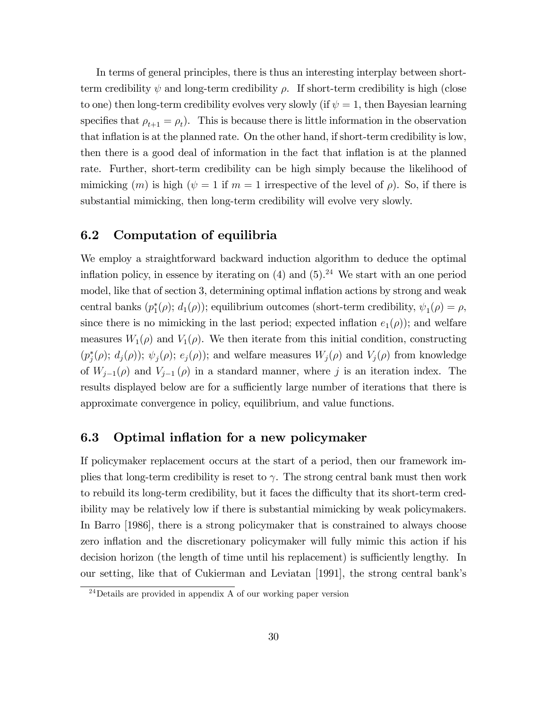In terms of general principles, there is thus an interesting interplay between shortterm credibility  $\psi$  and long-term credibility  $\rho$ . If short-term credibility is high (close to one) then long-term credibility evolves very slowly (if  $\psi = 1$ , then Bayesian learning specifies that  $\rho_{t+1} = \rho_t$ ). This is because there is little information in the observation that inflation is at the planned rate. On the other hand, if short-term credibility is low, then there is a good deal of information in the fact that inflation is at the planned rate. Further, short-term credibility can be high simply because the likelihood of mimicking  $(m)$  is high  $(\psi = 1$  if  $m = 1$  irrespective of the level of  $\rho$ ). So, if there is substantial mimicking, then long-term credibility will evolve very slowly.

## 6.2 Computation of equilibria

We employ a straightforward backward induction algorithm to deduce the optimal inflation policy, in essence by iterating on  $(4)$  and  $(5).<sup>24</sup>$  We start with an one period model, like that of section 3, determining optimal inflation actions by strong and weak central banks  $(p_1^*(\rho); d_1(\rho))$ ; equilibrium outcomes (short-term credibility,  $\psi_1(\rho) = \rho$ , since there is no mimicking in the last period; expected inflation  $e_1(\rho)$ ; and welfare measures  $W_1(\rho)$  and  $V_1(\rho)$ . We then iterate from this initial condition, constructing  $(p_j^*(\rho); d_j(\rho)); \psi_j(\rho); e_j(\rho)$ ; and welfare measures  $W_j(\rho)$  and  $V_j(\rho)$  from knowledge of  $W_{j-1}(\rho)$  and  $V_{j-1}(\rho)$  in a standard manner, where j is an iteration index. The results displayed below are for a sufficiently large number of iterations that there is approximate convergence in policy, equilibrium, and value functions.

### 6.3 Optimal inflation for a new policymaker

If policymaker replacement occurs at the start of a period, then our framework implies that long-term credibility is reset to  $\gamma$ . The strong central bank must then work to rebuild its long-term credibility, but it faces the difficulty that its short-term credibility may be relatively low if there is substantial mimicking by weak policymakers. In Barro [1986], there is a strong policymaker that is constrained to always choose zero inflation and the discretionary policymaker will fully mimic this action if his decision horizon (the length of time until his replacement) is sufficiently lengthy. In our setting, like that of Cukierman and Leviatan [1991], the strong central bankís

 $\frac{24}{24}$ Details are provided in appendix A of our working paper version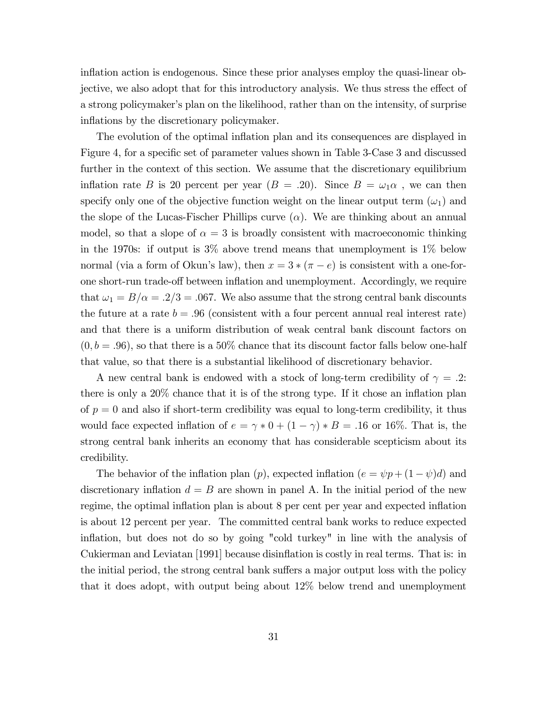inflation action is endogenous. Since these prior analyses employ the quasi-linear objective, we also adopt that for this introductory analysis. We thus stress the effect of a strong policymaker's plan on the likelihood, rather than on the intensity, of surprise inflations by the discretionary policymaker.

The evolution of the optimal inflation plan and its consequences are displayed in Figure 4, for a specific set of parameter values shown in Table 3-Case 3 and discussed further in the context of this section. We assume that the discretionary equilibrium inflation rate B is 20 percent per year  $(B = .20)$ . Since  $B = \omega_1 \alpha$ , we can then specify only one of the objective function weight on the linear output term  $(\omega_1)$  and the slope of the Lucas-Fischer Phillips curve  $(\alpha)$ . We are thinking about an annual model, so that a slope of  $\alpha = 3$  is broadly consistent with macroeconomic thinking in the 1970s: if output is 3% above trend means that unemployment is 1% below normal (via a form of Okun's law), then  $x = 3 * (\pi - e)$  is consistent with a one-forone short-run trade-off between inflation and unemployment. Accordingly, we require that  $\omega_1 = B/\alpha = .2/3 = .067$ . We also assume that the strong central bank discounts the future at a rate  $b = .96$  (consistent with a four percent annual real interest rate) and that there is a uniform distribution of weak central bank discount factors on  $(0, b = .96)$ , so that there is a 50% chance that its discount factor falls below one-half that value, so that there is a substantial likelihood of discretionary behavior.

A new central bank is endowed with a stock of long-term credibility of  $\gamma = .2$ : there is only a  $20\%$  chance that it is of the strong type. If it chose an inflation plan of  $p = 0$  and also if short-term credibility was equal to long-term credibility, it thus would face expected inflation of  $e = \gamma * 0 + (1 - \gamma) * B = .16$  or 16\%. That is, the strong central bank inherits an economy that has considerable scepticism about its credibility.

The behavior of the inflation plan (p), expected inflation  $(e = \psi p + (1 - \psi)d)$  and discretionary inflation  $d = B$  are shown in panel A. In the initial period of the new regime, the optimal inflation plan is about 8 per cent per year and expected inflation is about 12 percent per year. The committed central bank works to reduce expected inflation, but does not do so by going "cold turkey" in line with the analysis of Cukierman and Leviatan [1991] because disinflation is costly in real terms. That is: in the initial period, the strong central bank suffers a major output loss with the policy that it does adopt, with output being about 12% below trend and unemployment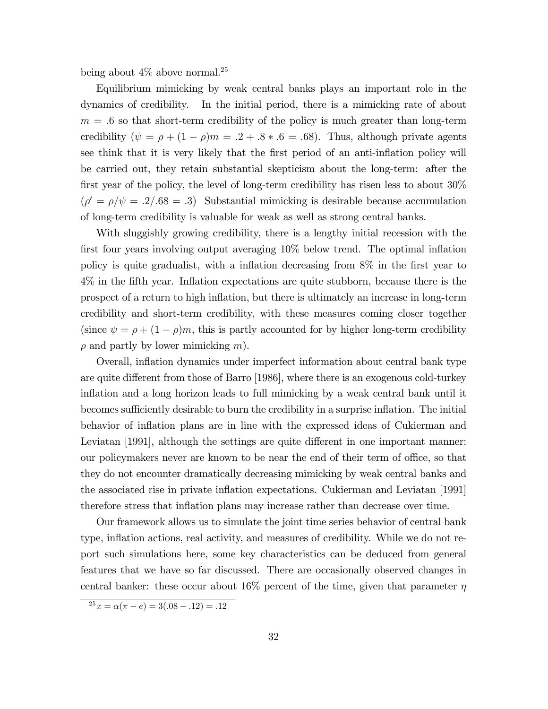being about  $4\%$  above normal.<sup>25</sup>

Equilibrium mimicking by weak central banks plays an important role in the dynamics of credibility. In the initial period, there is a mimicking rate of about  $m = 0.6$  so that short-term credibility of the policy is much greater than long-term credibility  $(\psi = \rho + (1 - \rho)m = .2 + .8 * .6 = .68)$ . Thus, although private agents see think that it is very likely that the first period of an anti-inflation policy will be carried out, they retain substantial skepticism about the long-term: after the first year of the policy, the level of long-term credibility has risen less to about  $30\%$  $(\rho' = \rho/\psi = .2/.68 = .3)$  Substantial mimicking is desirable because accumulation of long-term credibility is valuable for weak as well as strong central banks.

With sluggishly growing credibility, there is a lengthy initial recession with the first four years involving output averaging  $10\%$  below trend. The optimal inflation policy is quite gradualist, with a inflation decreasing from  $8\%$  in the first year to 4% in the fifth year. Inflation expectations are quite stubborn, because there is the prospect of a return to high ináation, but there is ultimately an increase in long-term credibility and short-term credibility, with these measures coming closer together (since  $\psi = \rho + (1 - \rho)m$ , this is partly accounted for by higher long-term credibility  $\rho$  and partly by lower mimicking m).

Overall, ináation dynamics under imperfect information about central bank type are quite different from those of Barro [1986], where there is an exogenous cold-turkey inflation and a long horizon leads to full mimicking by a weak central bank until it becomes sufficiently desirable to burn the credibility in a surprise inflation. The initial behavior of inflation plans are in line with the expressed ideas of Cukierman and Leviatan [1991], although the settings are quite different in one important manner: our policymakers never are known to be near the end of their term of office, so that they do not encounter dramatically decreasing mimicking by weak central banks and the associated rise in private ináation expectations. Cukierman and Leviatan [1991] therefore stress that inflation plans may increase rather than decrease over time.

Our framework allows us to simulate the joint time series behavior of central bank type, inflation actions, real activity, and measures of credibility. While we do not report such simulations here, some key characteristics can be deduced from general features that we have so far discussed. There are occasionally observed changes in central banker: these occur about 16% percent of the time, given that parameter  $\eta$ 

 $2^5x = \alpha(\pi - e) = 3(.08 - .12) = .12$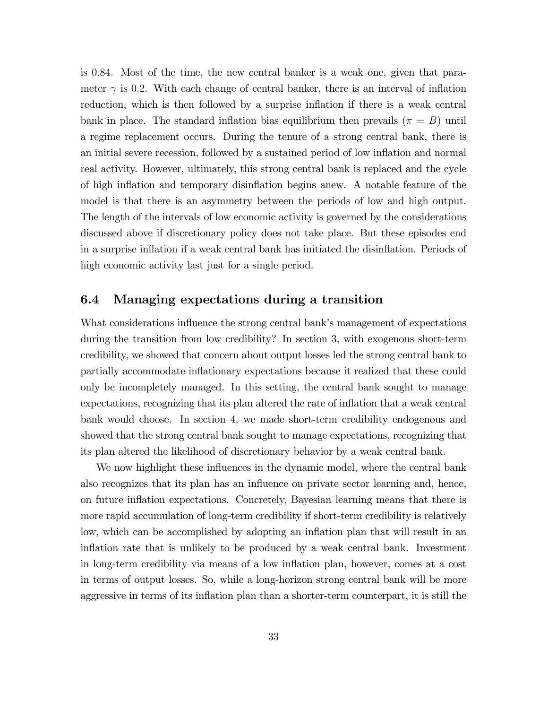is 0:84. Most of the time, the new central banker is a weak one, given that parameter  $\gamma$  is 0.2. With each change of central banker, there is an interval of inflation reduction, which is then followed by a surprise inflation if there is a weak central bank in place. The standard inflation bias equilibrium then prevails  $(\pi = B)$  until a regime replacement occurs. During the tenure of a strong central bank, there is an initial severe recession, followed by a sustained period of low ináation and normal real activity. However, ultimately, this strong central bank is replaced and the cycle of high ináation and temporary disináation begins anew. A notable feature of the model is that there is an asymmetry between the periods of low and high output. The length of the intervals of low economic activity is governed by the considerations discussed above if discretionary policy does not take place. But these episodes end in a surprise inflation if a weak central bank has initiated the disinflation. Periods of high economic activity last just for a single period.

## 6.4 Managing expectations during a transition

What considerations influence the strong central bank's management of expectations during the transition from low credibility? In section 3, with exogenous short-term credibility, we showed that concern about output losses led the strong central bank to partially accommodate ináationary expectations because it realized that these could only be incompletely managed. In this setting, the central bank sought to manage expectations, recognizing that its plan altered the rate of inflation that a weak central bank would choose. In section 4, we made short-term credibility endogenous and showed that the strong central bank sought to manage expectations, recognizing that its plan altered the likelihood of discretionary behavior by a weak central bank.

We now highlight these influences in the dynamic model, where the central bank also recognizes that its plan has an ináuence on private sector learning and, hence, on future ináation expectations. Concretely, Bayesian learning means that there is more rapid accumulation of long-term credibility if short-term credibility is relatively low, which can be accomplished by adopting an inflation plan that will result in an inflation rate that is unlikely to be produced by a weak central bank. Investment in long-term credibility via means of a low inflation plan, however, comes at a cost in terms of output losses. So, while a long-horizon strong central bank will be more aggressive in terms of its inflation plan than a shorter-term counterpart, it is still the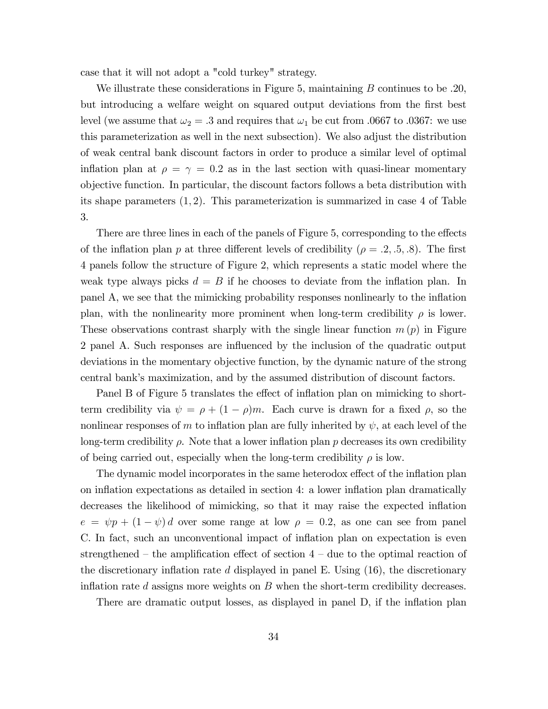case that it will not adopt a "cold turkey" strategy.

We illustrate these considerations in Figure 5, maintaining  $B$  continues to be .20, but introducing a welfare weight on squared output deviations from the Örst best level (we assume that  $\omega_2 = .3$  and requires that  $\omega_1$  be cut from .0667 to .0367: we use this parameterization as well in the next subsection). We also adjust the distribution of weak central bank discount factors in order to produce a similar level of optimal inflation plan at  $\rho = \gamma = 0.2$  as in the last section with quasi-linear momentary objective function. In particular, the discount factors follows a beta distribution with its shape parameters  $(1, 2)$ . This parameterization is summarized in case 4 of Table 3.

There are three lines in each of the panels of Figure 5, corresponding to the effects of the inflation plan p at three different levels of credibility ( $\rho = .2, .5, .8$ ). The first 4 panels follow the structure of Figure 2, which represents a static model where the weak type always picks  $d = B$  if he chooses to deviate from the inflation plan. In panel A, we see that the mimicking probability responses nonlinearly to the ináation plan, with the nonlinearity more prominent when long-term credibility  $\rho$  is lower. These observations contrast sharply with the single linear function  $m(p)$  in Figure 2 panel A. Such responses are ináuenced by the inclusion of the quadratic output deviations in the momentary objective function, by the dynamic nature of the strong central bankís maximization, and by the assumed distribution of discount factors.

Panel B of Figure 5 translates the effect of inflation plan on mimicking to shortterm credibility via  $\psi = \rho + (1 - \rho)m$ . Each curve is drawn for a fixed  $\rho$ , so the nonlinear responses of m to inflation plan are fully inherited by  $\psi$ , at each level of the long-term credibility  $\rho$ . Note that a lower inflation plan  $p$  decreases its own credibility of being carried out, especially when the long-term credibility  $\rho$  is low.

The dynamic model incorporates in the same heterodox effect of the inflation plan on inflation expectations as detailed in section 4: a lower inflation plan dramatically decreases the likelihood of mimicking, so that it may raise the expected inflation  $e = \psi p + (1 - \psi) d$  over some range at low  $\rho = 0.2$ , as one can see from panel C. In fact, such an unconventional impact of inflation plan on expectation is even strengthened – the amplification effect of section  $4$  – due to the optimal reaction of the discretionary inflation rate d displayed in panel E. Using  $(16)$ , the discretionary inflation rate d assigns more weights on  $B$  when the short-term credibility decreases.

There are dramatic output losses, as displayed in panel D, if the inflation plan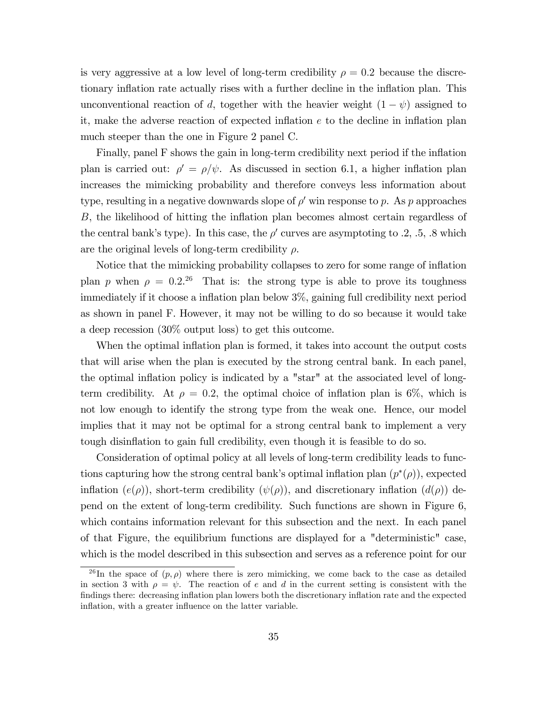is very aggressive at a low level of long-term credibility  $\rho = 0.2$  because the discretionary inflation rate actually rises with a further decline in the inflation plan. This unconventional reaction of d, together with the heavier weight  $(1 - \psi)$  assigned to it, make the adverse reaction of expected inflation  $e$  to the decline in inflation plan much steeper than the one in Figure 2 panel C.

Finally, panel F shows the gain in long-term credibility next period if the inflation plan is carried out:  $\rho' = \rho/\psi$ . As discussed in section 6.1, a higher inflation plan increases the mimicking probability and therefore conveys less information about type, resulting in a negative downwards slope of  $\rho'$  win response to p. As p approaches  $B$ , the likelihood of hitting the inflation plan becomes almost certain regardless of the central bank's type). In this case, the  $\rho'$  curves are asymptoting to .2, .5, .8 which are the original levels of long-term credibility  $\rho$ .

Notice that the mimicking probability collapses to zero for some range of inflation plan p when  $\rho = 0.2^{.26}$  That is: the strong type is able to prove its toughness immediately if it choose a inflation plan below  $3\%$ , gaining full credibility next period as shown in panel F. However, it may not be willing to do so because it would take a deep recession (30% output loss) to get this outcome.

When the optimal inflation plan is formed, it takes into account the output costs that will arise when the plan is executed by the strong central bank. In each panel, the optimal inflation policy is indicated by a "star" at the associated level of longterm credibility. At  $\rho = 0.2$ , the optimal choice of inflation plan is 6\%, which is not low enough to identify the strong type from the weak one. Hence, our model implies that it may not be optimal for a strong central bank to implement a very tough disinflation to gain full credibility, even though it is feasible to do so.

Consideration of optimal policy at all levels of long-term credibility leads to functions capturing how the strong central bank's optimal inflation plan  $(p^*(\rho))$ , expected inflation  $(e(\rho))$ , short-term credibility  $(\psi(\rho))$ , and discretionary inflation  $(d(\rho))$  depend on the extent of long-term credibility. Such functions are shown in Figure 6, which contains information relevant for this subsection and the next. In each panel of that Figure, the equilibrium functions are displayed for a "deterministic" case, which is the model described in this subsection and serves as a reference point for our

<sup>&</sup>lt;sup>26</sup>In the space of  $(p, \rho)$  where there is zero mimicking, we come back to the case as detailed in section 3 with  $\rho = \psi$ . The reaction of e and d in the current setting is consistent with the findings there: decreasing inflation plan lowers both the discretionary inflation rate and the expected inflation, with a greater influence on the latter variable.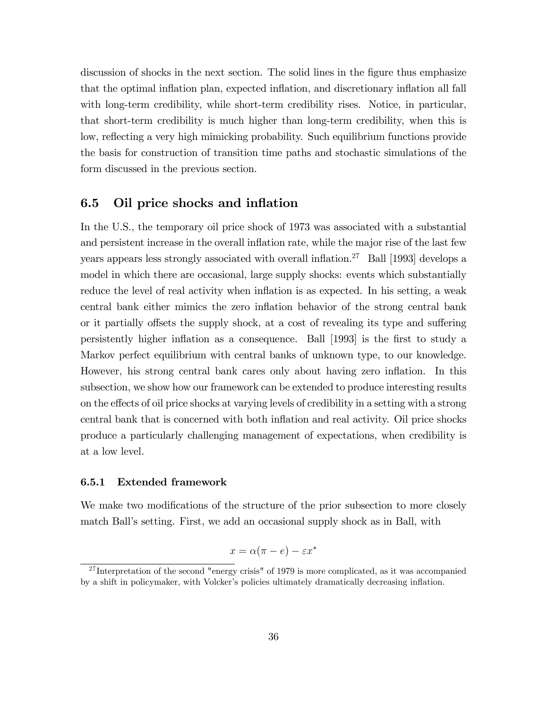discussion of shocks in the next section. The solid lines in the figure thus emphasize that the optimal inflation plan, expected inflation, and discretionary inflation all fall with long-term credibility, while short-term credibility rises. Notice, in particular, that short-term credibility is much higher than long-term credibility, when this is low, reflecting a very high mimicking probability. Such equilibrium functions provide the basis for construction of transition time paths and stochastic simulations of the form discussed in the previous section.

## 6.5 Oil price shocks and inflation

In the U.S., the temporary oil price shock of 1973 was associated with a substantial and persistent increase in the overall inflation rate, while the major rise of the last few years appears less strongly associated with overall inflation.<sup>27</sup> Ball [1993] develops a model in which there are occasional, large supply shocks: events which substantially reduce the level of real activity when inflation is as expected. In his setting, a weak central bank either mimics the zero inflation behavior of the strong central bank or it partially offsets the supply shock, at a cost of revealing its type and suffering persistently higher ináation as a consequence. Ball [1993] is the Örst to study a Markov perfect equilibrium with central banks of unknown type, to our knowledge. However, his strong central bank cares only about having zero inflation. In this subsection, we show how our framework can be extended to produce interesting results on the effects of oil price shocks at varying levels of credibility in a setting with a strong central bank that is concerned with both ináation and real activity. Oil price shocks produce a particularly challenging management of expectations, when credibility is at a low level.

### 6.5.1 Extended framework

We make two modifications of the structure of the prior subsection to more closely match Ball's setting. First, we add an occasional supply shock as in Ball, with

$$
x = \alpha(\pi - e) - \varepsilon x^*
$$

 $27$ Interpretation of the second "energy crisis" of 1979 is more complicated, as it was accompanied by a shift in policymaker, with Volcker's policies ultimately dramatically decreasing inflation.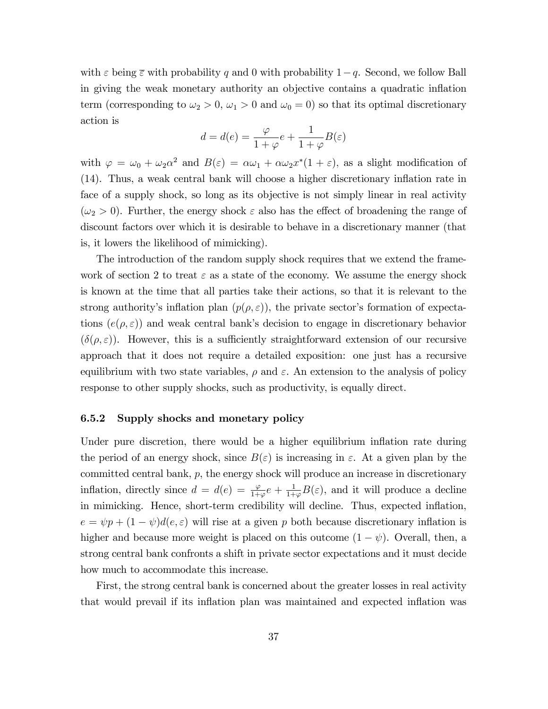with  $\varepsilon$  being  $\overline{\varepsilon}$  with probability q and 0 with probability  $1-q$ . Second, we follow Ball in giving the weak monetary authority an objective contains a quadratic inflation term (corresponding to  $\omega_2 > 0$ ,  $\omega_1 > 0$  and  $\omega_0 = 0$ ) so that its optimal discretionary action is

$$
d=d(e)=\frac{\varphi}{1+\varphi}e+\frac{1}{1+\varphi}B(\varepsilon)
$$

with  $\varphi = \omega_0 + \omega_2 \alpha^2$  and  $B(\varepsilon) = \alpha \omega_1 + \alpha \omega_2 x^* (1 + \varepsilon)$ , as a slight modification of  $(14)$ . Thus, a weak central bank will choose a higher discretionary inflation rate in face of a supply shock, so long as its objective is not simply linear in real activity  $(\omega_2 > 0)$ . Further, the energy shock  $\varepsilon$  also has the effect of broadening the range of discount factors over which it is desirable to behave in a discretionary manner (that is, it lowers the likelihood of mimicking).

The introduction of the random supply shock requires that we extend the framework of section 2 to treat  $\varepsilon$  as a state of the economy. We assume the energy shock is known at the time that all parties take their actions, so that it is relevant to the strong authority's inflation plan  $(p(\rho, \varepsilon))$ , the private sector's formation of expectations  $(e(\rho, \varepsilon))$  and weak central bank's decision to engage in discretionary behavior  $(\delta(\rho, \varepsilon))$ . However, this is a sufficiently straightforward extension of our recursive approach that it does not require a detailed exposition: one just has a recursive equilibrium with two state variables,  $\rho$  and  $\varepsilon$ . An extension to the analysis of policy response to other supply shocks, such as productivity, is equally direct.

### 6.5.2 Supply shocks and monetary policy

Under pure discretion, there would be a higher equilibrium inflation rate during the period of an energy shock, since  $B(\varepsilon)$  is increasing in  $\varepsilon$ . At a given plan by the committed central bank, p, the energy shock will produce an increase in discretionary inflation, directly since  $d = d(e) = \frac{\varphi}{1+\varphi}e + \frac{1}{1+\varphi}$  $\frac{1}{1+\varphi}B(\varepsilon)$ , and it will produce a decline in mimicking. Hence, short-term credibility will decline. Thus, expected ináation,  $e = \psi p + (1 - \psi) d(e, \varepsilon)$  will rise at a given p both because discretionary inflation is higher and because more weight is placed on this outcome  $(1 - \psi)$ . Overall, then, a strong central bank confronts a shift in private sector expectations and it must decide how much to accommodate this increase.

First, the strong central bank is concerned about the greater losses in real activity that would prevail if its inflation plan was maintained and expected inflation was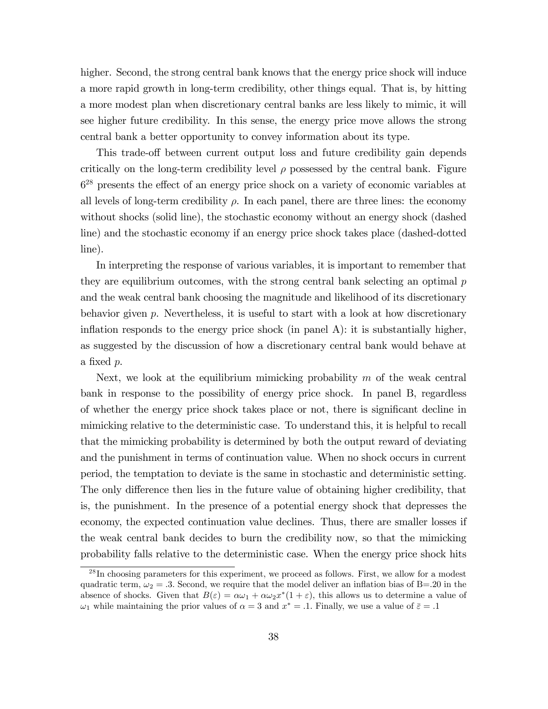higher. Second, the strong central bank knows that the energy price shock will induce a more rapid growth in long-term credibility, other things equal. That is, by hitting a more modest plan when discretionary central banks are less likely to mimic, it will see higher future credibility. In this sense, the energy price move allows the strong central bank a better opportunity to convey information about its type.

This trade-off between current output loss and future credibility gain depends critically on the long-term credibility level  $\rho$  possessed by the central bank. Figure  $6<sup>28</sup>$  presents the effect of an energy price shock on a variety of economic variables at all levels of long-term credibility  $\rho$ . In each panel, there are three lines: the economy without shocks (solid line), the stochastic economy without an energy shock (dashed line) and the stochastic economy if an energy price shock takes place (dashed-dotted line).

In interpreting the response of various variables, it is important to remember that they are equilibrium outcomes, with the strong central bank selecting an optimal  $p$ and the weak central bank choosing the magnitude and likelihood of its discretionary behavior given p. Nevertheless, it is useful to start with a look at how discretionary inflation responds to the energy price shock (in panel  $A$ ): it is substantially higher, as suggested by the discussion of how a discretionary central bank would behave at a fixed  $p$ .

Next, we look at the equilibrium mimicking probability  $m$  of the weak central bank in response to the possibility of energy price shock. In panel B, regardless of whether the energy price shock takes place or not, there is significant decline in mimicking relative to the deterministic case. To understand this, it is helpful to recall that the mimicking probability is determined by both the output reward of deviating and the punishment in terms of continuation value. When no shock occurs in current period, the temptation to deviate is the same in stochastic and deterministic setting. The only difference then lies in the future value of obtaining higher credibility, that is, the punishment. In the presence of a potential energy shock that depresses the economy, the expected continuation value declines. Thus, there are smaller losses if the weak central bank decides to burn the credibility now, so that the mimicking probability falls relative to the deterministic case. When the energy price shock hits

<sup>&</sup>lt;sup>28</sup>In choosing parameters for this experiment, we proceed as follows. First, we allow for a modest quadratic term,  $\omega_2 = 0.3$ . Second, we require that the model deliver an inflation bias of B=.20 in the absence of shocks. Given that  $B(\varepsilon) = \alpha \omega_1 + \alpha \omega_2 x^* (1 + \varepsilon)$ , this allows us to determine a value of  $\omega_1$  while maintaining the prior values of  $\alpha = 3$  and  $x^* = .1$ . Finally, we use a value of  $\bar{\varepsilon} = .1$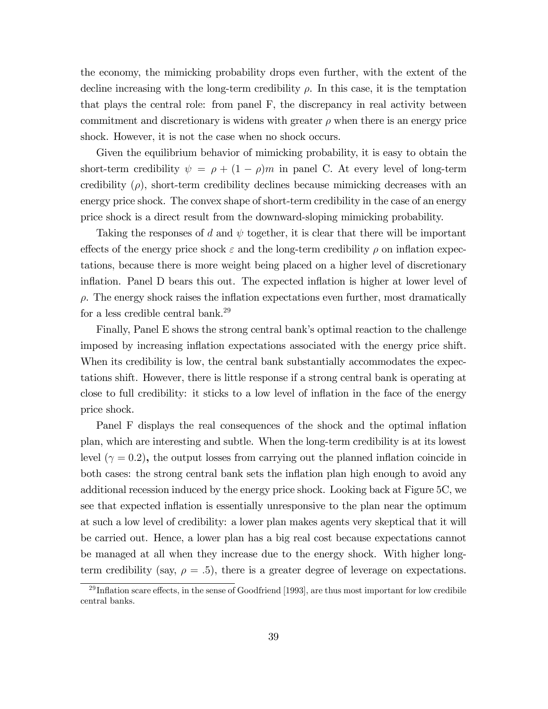the economy, the mimicking probability drops even further, with the extent of the decline increasing with the long-term credibility  $\rho$ . In this case, it is the temptation that plays the central role: from panel F, the discrepancy in real activity between commitment and discretionary is widens with greater  $\rho$  when there is an energy price shock. However, it is not the case when no shock occurs.

Given the equilibrium behavior of mimicking probability, it is easy to obtain the short-term credibility  $\psi = \rho + (1 - \rho)m$  in panel C. At every level of long-term credibility  $(\rho)$ , short-term credibility declines because mimicking decreases with an energy price shock. The convex shape of short-term credibility in the case of an energy price shock is a direct result from the downward-sloping mimicking probability.

Taking the responses of d and  $\psi$  together, it is clear that there will be important effects of the energy price shock  $\varepsilon$  and the long-term credibility  $\rho$  on inflation expectations, because there is more weight being placed on a higher level of discretionary inflation. Panel D bears this out. The expected inflation is higher at lower level of  $\rho$ . The energy shock raises the inflation expectations even further, most dramatically for a less credible central bank.<sup>29</sup>

Finally, Panel E shows the strong central bank's optimal reaction to the challenge imposed by increasing ináation expectations associated with the energy price shift. When its credibility is low, the central bank substantially accommodates the expectations shift. However, there is little response if a strong central bank is operating at close to full credibility: it sticks to a low level of inflation in the face of the energy price shock.

Panel F displays the real consequences of the shock and the optimal inflation plan, which are interesting and subtle. When the long-term credibility is at its lowest level  $(\gamma = 0.2)$ , the output losses from carrying out the planned inflation coincide in both cases: the strong central bank sets the inflation plan high enough to avoid any additional recession induced by the energy price shock. Looking back at Figure 5C, we see that expected inflation is essentially unresponsive to the plan near the optimum at such a low level of credibility: a lower plan makes agents very skeptical that it will be carried out. Hence, a lower plan has a big real cost because expectations cannot be managed at all when they increase due to the energy shock. With higher longterm credibility (say,  $\rho = .5$ ), there is a greater degree of leverage on expectations.

 $29$ Inflation scare effects, in the sense of Goodfriend [1993], are thus most important for low credibile central banks.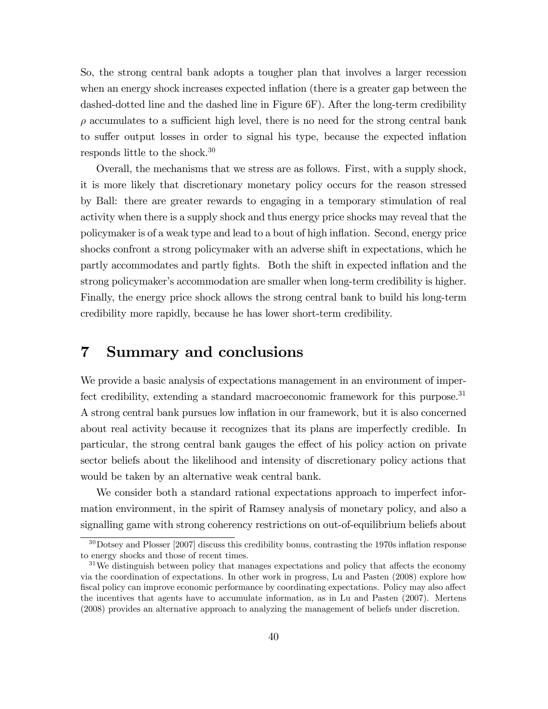So, the strong central bank adopts a tougher plan that involves a larger recession when an energy shock increases expected inflation (there is a greater gap between the dashed-dotted line and the dashed line in Figure 6F). After the long-term credibility  $\rho$  accumulates to a sufficient high level, there is no need for the strong central bank to suffer output losses in order to signal his type, because the expected inflation responds little to the shock.<sup>30</sup>

Overall, the mechanisms that we stress are as follows. First, with a supply shock, it is more likely that discretionary monetary policy occurs for the reason stressed by Ball: there are greater rewards to engaging in a temporary stimulation of real activity when there is a supply shock and thus energy price shocks may reveal that the policymaker is of a weak type and lead to a bout of high inflation. Second, energy price shocks confront a strong policymaker with an adverse shift in expectations, which he partly accommodates and partly fights. Both the shift in expected inflation and the strong policymaker's accommodation are smaller when long-term credibility is higher. Finally, the energy price shock allows the strong central bank to build his long-term credibility more rapidly, because he has lower short-term credibility.

## 7 Summary and conclusions

We provide a basic analysis of expectations management in an environment of imperfect credibility, extending a standard macroeconomic framework for this purpose.<sup>31</sup> A strong central bank pursues low ináation in our framework, but it is also concerned about real activity because it recognizes that its plans are imperfectly credible. In particular, the strong central bank gauges the effect of his policy action on private sector beliefs about the likelihood and intensity of discretionary policy actions that would be taken by an alternative weak central bank.

We consider both a standard rational expectations approach to imperfect information environment, in the spirit of Ramsey analysis of monetary policy, and also a signalling game with strong coherency restrictions on out-of-equilibrium beliefs about

 $30$  Dotsey and Plosser [2007] discuss this credibility bonus, contrasting the 1970s inflation response to energy shocks and those of recent times.

 $31\,\text{We distinguish between policy that manages expectations and policy that affects the economy.}$ via the coordination of expectations. In other work in progress, Lu and Pasten (2008) explore how fiscal policy can improve economic performance by coordinating expectations. Policy may also affect the incentives that agents have to accumulate information, as in Lu and Pasten (2007). Mertens (2008) provides an alternative approach to analyzing the management of beliefs under discretion.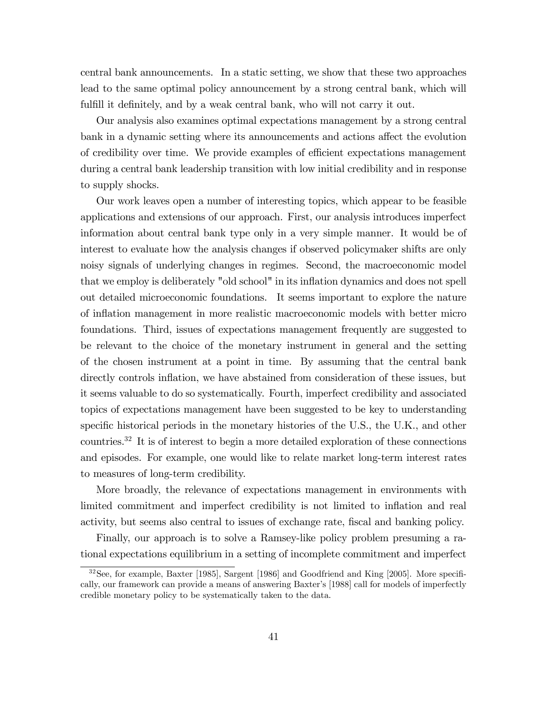central bank announcements. In a static setting, we show that these two approaches lead to the same optimal policy announcement by a strong central bank, which will fulfill it definitely, and by a weak central bank, who will not carry it out.

Our analysis also examines optimal expectations management by a strong central bank in a dynamic setting where its announcements and actions affect the evolution of credibility over time. We provide examples of efficient expectations management during a central bank leadership transition with low initial credibility and in response to supply shocks.

Our work leaves open a number of interesting topics, which appear to be feasible applications and extensions of our approach. First, our analysis introduces imperfect information about central bank type only in a very simple manner. It would be of interest to evaluate how the analysis changes if observed policymaker shifts are only noisy signals of underlying changes in regimes. Second, the macroeconomic model that we employ is deliberately "old school" in its ináation dynamics and does not spell out detailed microeconomic foundations. It seems important to explore the nature of ináation management in more realistic macroeconomic models with better micro foundations. Third, issues of expectations management frequently are suggested to be relevant to the choice of the monetary instrument in general and the setting of the chosen instrument at a point in time. By assuming that the central bank directly controls inflation, we have abstained from consideration of these issues, but it seems valuable to do so systematically. Fourth, imperfect credibility and associated topics of expectations management have been suggested to be key to understanding specific historical periods in the monetary histories of the U.S., the U.K., and other countries.<sup>32</sup> It is of interest to begin a more detailed exploration of these connections and episodes. For example, one would like to relate market long-term interest rates to measures of long-term credibility.

More broadly, the relevance of expectations management in environments with limited commitment and imperfect credibility is not limited to inflation and real activity, but seems also central to issues of exchange rate, Öscal and banking policy.

Finally, our approach is to solve a Ramsey-like policy problem presuming a rational expectations equilibrium in a setting of incomplete commitment and imperfect

 $32$ See, for example, Baxter [1985], Sargent [1986] and Goodfriend and King [2005]. More specifically, our framework can provide a means of answering Baxter's [1988] call for models of imperfectly credible monetary policy to be systematically taken to the data.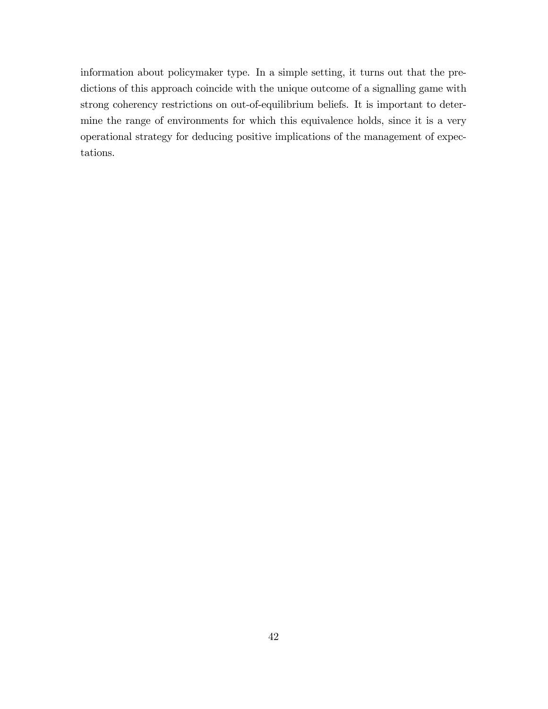information about policymaker type. In a simple setting, it turns out that the predictions of this approach coincide with the unique outcome of a signalling game with strong coherency restrictions on out-of-equilibrium beliefs. It is important to determine the range of environments for which this equivalence holds, since it is a very operational strategy for deducing positive implications of the management of expectations.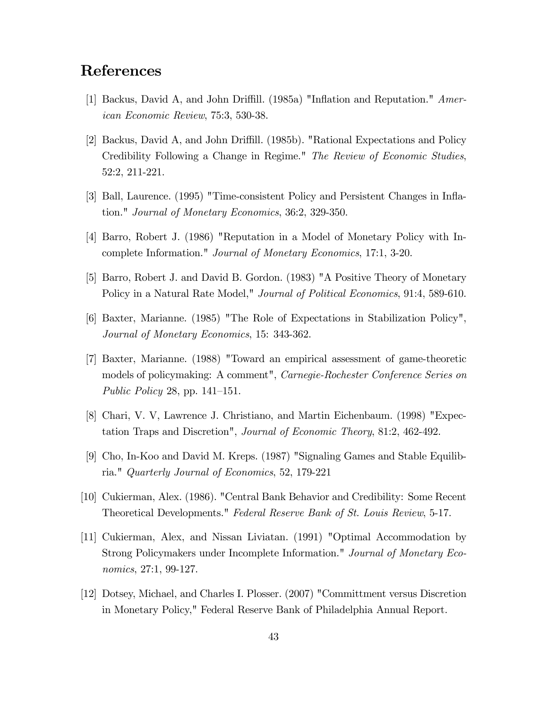## References

- [1] Backus, David A, and John Driffill. (1985a) "Inflation and Reputation."  $Amer$ ican Economic Review, 75:3, 530-38.
- [2] Backus, David A, and John Driffill. (1985b). "Rational Expectations and Policy Credibility Following a Change in Regime." The Review of Economic Studies, 52:2, 211-221.
- [3] Ball, Laurence. (1995) "Time-consistent Policy and Persistent Changes in Ináation." Journal of Monetary Economics, 36:2, 329-350.
- [4] Barro, Robert J. (1986) "Reputation in a Model of Monetary Policy with Incomplete Information." Journal of Monetary Economics, 17:1, 3-20.
- [5] Barro, Robert J. and David B. Gordon. (1983) "A Positive Theory of Monetary Policy in a Natural Rate Model," *Journal of Political Economics*, 91:4, 589-610.
- [6] Baxter, Marianne. (1985) "The Role of Expectations in Stabilization Policy", Journal of Monetary Economics, 15: 343-362.
- [7] Baxter, Marianne. (1988) "Toward an empirical assessment of game-theoretic models of policymaking: A comment", Carnegie-Rochester Conference Series on Public Policy 28, pp.  $141-151$ .
- [8] Chari, V. V, Lawrence J. Christiano, and Martin Eichenbaum. (1998) "Expectation Traps and Discretion", Journal of Economic Theory, 81:2, 462-492.
- [9] Cho, In-Koo and David M. Kreps. (1987) "Signaling Games and Stable Equilibria." Quarterly Journal of Economics, 52, 179-221
- [10] Cukierman, Alex. (1986). "Central Bank Behavior and Credibility: Some Recent Theoretical Developments." Federal Reserve Bank of St. Louis Review, 5-17.
- [11] Cukierman, Alex, and Nissan Liviatan. (1991) "Optimal Accommodation by Strong Policymakers under Incomplete Information." Journal of Monetary Economics, 27:1, 99-127.
- [12] Dotsey, Michael, and Charles I. Plosser. (2007) "Committment versus Discretion in Monetary Policy," Federal Reserve Bank of Philadelphia Annual Report.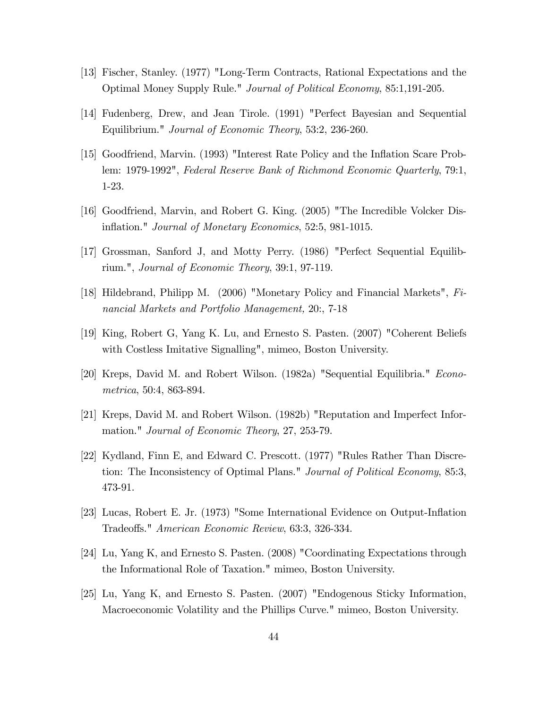- [13] Fischer, Stanley. (1977) "Long-Term Contracts, Rational Expectations and the Optimal Money Supply Rule." Journal of Political Economy, 85:1,191-205.
- [14] Fudenberg, Drew, and Jean Tirole. (1991) "Perfect Bayesian and Sequential Equilibrium." Journal of Economic Theory, 53:2, 236-260.
- [15] Goodfriend, Marvin. (1993) "Interest Rate Policy and the Ináation Scare Problem: 1979-1992", Federal Reserve Bank of Richmond Economic Quarterly, 79:1, 1-23.
- [16] Goodfriend, Marvin, and Robert G. King. (2005) "The Incredible Volcker Disinflation." *Journal of Monetary Economics*, 52:5, 981-1015.
- [17] Grossman, Sanford J, and Motty Perry. (1986) "Perfect Sequential Equilibrium.", Journal of Economic Theory, 39:1, 97-119.
- [18] Hildebrand, Philipp M. (2006) "Monetary Policy and Financial Markets", Financial Markets and Portfolio Management, 20:, 7-18
- [19] King, Robert G, Yang K. Lu, and Ernesto S. Pasten. (2007) "Coherent Beliefs with Costless Imitative Signalling", mimeo, Boston University.
- [20] Kreps, David M. and Robert Wilson. (1982a) "Sequential Equilibria." Econometrica, 50:4, 863-894.
- [21] Kreps, David M. and Robert Wilson. (1982b) "Reputation and Imperfect Information." Journal of Economic Theory, 27, 253-79.
- [22] Kydland, Finn E, and Edward C. Prescott. (1977) "Rules Rather Than Discretion: The Inconsistency of Optimal Plans." Journal of Political Economy, 85:3, 473-91.
- [23] Lucas, Robert E. Jr. (1973) "Some International Evidence on Output-Ináation Tradeoffs." *American Economic Review*, 63:3, 326-334.
- [24] Lu, Yang K, and Ernesto S. Pasten. (2008) "Coordinating Expectations through the Informational Role of Taxation." mimeo, Boston University.
- [25] Lu, Yang K, and Ernesto S. Pasten. (2007) "Endogenous Sticky Information, Macroeconomic Volatility and the Phillips Curve." mimeo, Boston University.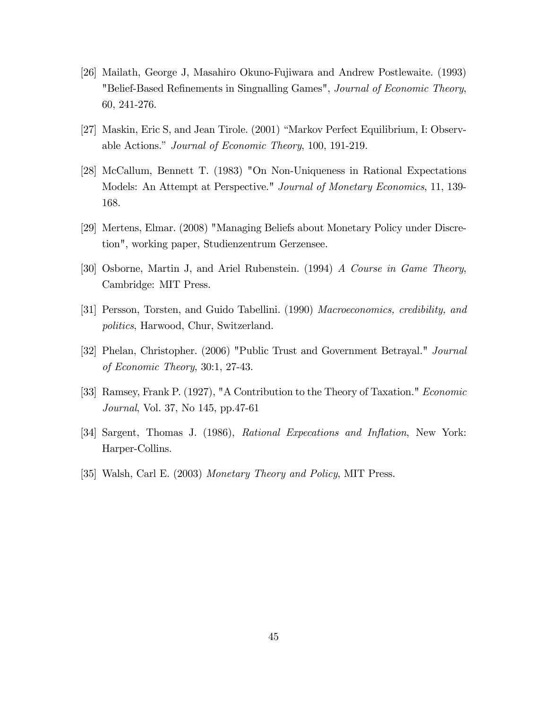- [26] Mailath, George J, Masahiro Okuno-Fujiwara and Andrew Postlewaite. (1993) "Belief-Based Refinements in Singnalling Games", Journal of Economic Theory, 60, 241-276.
- [27] Maskin, Eric S, and Jean Tirole. (2001) "Markov Perfect Equilibrium, I: Observable Actions." Journal of Economic Theory, 100, 191-219.
- [28] McCallum, Bennett T. (1983) "On Non-Uniqueness in Rational Expectations Models: An Attempt at Perspective." Journal of Monetary Economics, 11, 139- 168.
- [29] Mertens, Elmar. (2008) "Managing Beliefs about Monetary Policy under Discretion", working paper, Studienzentrum Gerzensee.
- [30] Osborne, Martin J, and Ariel Rubenstein. (1994) A Course in Game Theory, Cambridge: MIT Press.
- [31] Persson, Torsten, and Guido Tabellini. (1990) Macroeconomics, credibility, and politics, Harwood, Chur, Switzerland.
- [32] Phelan, Christopher. (2006) "Public Trust and Government Betrayal." Journal of Economic Theory, 30:1, 27-43.
- [33] Ramsey, Frank P. (1927), "A Contribution to the Theory of Taxation." Economic Journal, Vol. 37, No 145, pp.47-61
- [34] Sargent, Thomas J. (1986), Rational Expecations and Inflation, New York: Harper-Collins.
- [35] Walsh, Carl E. (2003) Monetary Theory and Policy, MIT Press.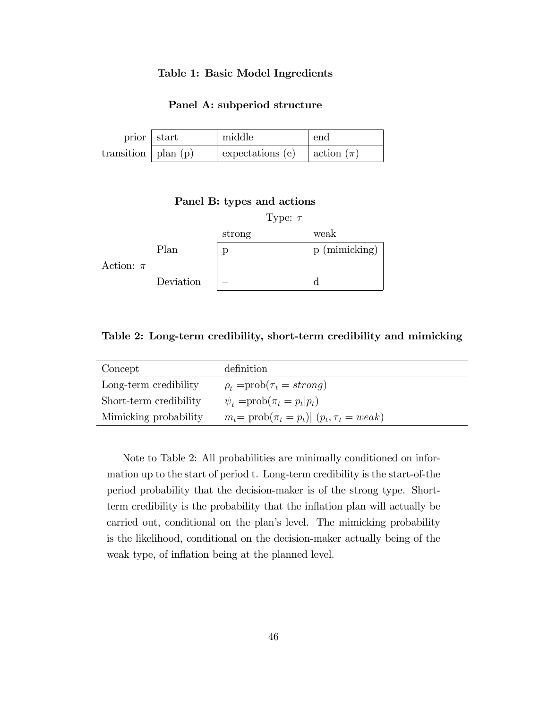### Table 1: Basic Model Ingredients

### Panel A: subperiod structure

| prior $\vert$ start     | middle                      | end            |
|-------------------------|-----------------------------|----------------|
| transition   plan $(p)$ | $\epsilon$ expectations (e) | action $(\pi)$ |

### Panel B: types and actions



Table 2: Long-term credibility, short-term credibility and mimicking

| Concept                | definition                                              |
|------------------------|---------------------------------------------------------|
| Long-term credibility  | $\rho_t = prob(\tau_t = strong)$                        |
| Short-term credibility | $\psi_t = \text{prob}(\pi_t = p_t p_t)$                 |
| Mimicking probability  | $m_t = \text{prob}(\pi_t = p_t)$ $(p_t, \tau_t = weak)$ |

Note to Table 2: All probabilities are minimally conditioned on information up to the start of period t. Long-term credibility is the start-of-the period probability that the decision-maker is of the strong type. Shortterm credibility is the probability that the inflation plan will actually be carried out, conditional on the plan's level. The mimicking probability is the likelihood, conditional on the decision-maker actually being of the weak type, of inflation being at the planned level.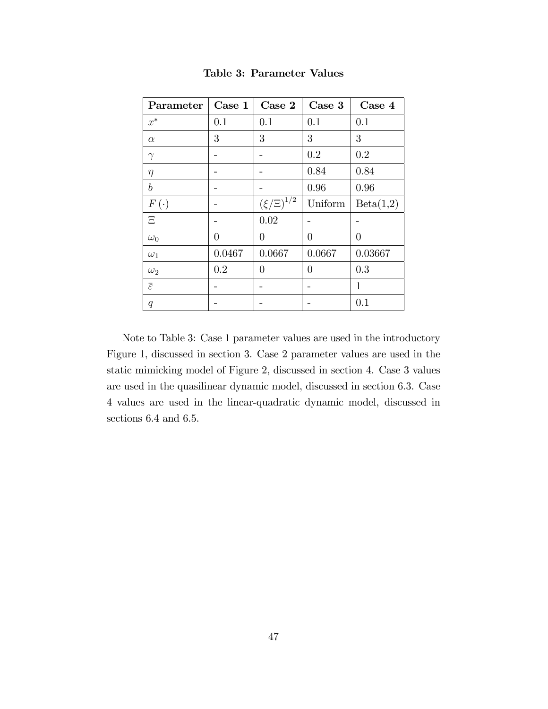| Parameter                | Case 1         | Case 2                                  | Case 3         | Case 4    |
|--------------------------|----------------|-----------------------------------------|----------------|-----------|
| $x^*$                    | 0.1            | 0.1                                     | 0.1            | 0.1       |
| $\alpha$                 | 3              | 3                                       | 3              | 3         |
| $\gamma$                 |                |                                         | 0.2            | 0.2       |
| $\eta$                   |                |                                         | 0.84           | 0.84      |
| $\boldsymbol{b}$         |                |                                         | 0.96           | 0.96      |
| $F\left(\cdot\right)$    |                | $\left(\xi/\Xi\right)^{1/\overline{2}}$ | Uniform        | Beta(1,2) |
| Ξ                        |                | 0.02                                    |                |           |
| $\omega_0$               | $\overline{0}$ | 0                                       | $\overline{0}$ | $\theta$  |
| $\omega_1$               | 0.0467         | 0.0667                                  | 0.0667         | 0.03667   |
| $\omega_2$               | 0.2            | 0                                       | 0              | 0.3       |
| $\overline{\varepsilon}$ |                |                                         |                | 1         |
| q                        |                |                                         |                | 0.1       |

Table 3: Parameter Values

Note to Table 3: Case 1 parameter values are used in the introductory Figure 1, discussed in section 3. Case 2 parameter values are used in the static mimicking model of Figure 2, discussed in section 4. Case 3 values are used in the quasilinear dynamic model, discussed in section 6.3. Case 4 values are used in the linear-quadratic dynamic model, discussed in sections 6.4 and 6.5.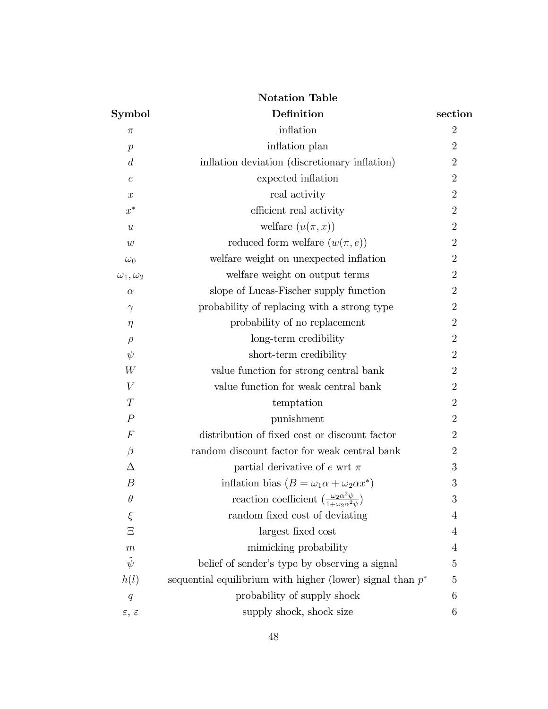| <b>Notation Table</b>                 |                                                                                               |                |  |  |  |  |
|---------------------------------------|-----------------------------------------------------------------------------------------------|----------------|--|--|--|--|
| <b>Symbol</b>                         | Definition                                                                                    | section        |  |  |  |  |
| π                                     | inflation                                                                                     | $\overline{2}$ |  |  |  |  |
| $\boldsymbol{p}$                      | inflation plan                                                                                | $\overline{2}$ |  |  |  |  |
| $\overline{d}$                        | inflation deviation (discretionary inflation)                                                 | $\overline{2}$ |  |  |  |  |
| $\epsilon$                            | expected inflation                                                                            | $\overline{2}$ |  |  |  |  |
| $\boldsymbol{x}$                      | real activity                                                                                 | $\overline{2}$ |  |  |  |  |
| $x^*$                                 | efficient real activity                                                                       | $\overline{2}$ |  |  |  |  |
| $\boldsymbol{u}$                      | welfare $(u(\pi, x))$                                                                         | $\overline{2}$ |  |  |  |  |
| w                                     | reduced form welfare $(w(\pi, e))$                                                            | $\overline{2}$ |  |  |  |  |
| $\omega_0$                            | welfare weight on unexpected inflation                                                        | $\overline{2}$ |  |  |  |  |
| $\omega_1,\omega_2$                   | welfare weight on output terms                                                                | $\overline{2}$ |  |  |  |  |
| $\alpha$                              | slope of Lucas-Fischer supply function                                                        | $\overline{2}$ |  |  |  |  |
| $\gamma$                              | probability of replacing with a strong type                                                   | $\overline{2}$ |  |  |  |  |
| $\eta$                                | probability of no replacement                                                                 | $\overline{2}$ |  |  |  |  |
| $\rho$                                | long-term credibility                                                                         | $\overline{2}$ |  |  |  |  |
| $\psi$                                | short-term credibility                                                                        | $\overline{2}$ |  |  |  |  |
| W                                     | value function for strong central bank                                                        | $\overline{2}$ |  |  |  |  |
| V                                     | value function for weak central bank                                                          | $\overline{2}$ |  |  |  |  |
| T                                     | temptation                                                                                    | $\overline{2}$ |  |  |  |  |
| $\boldsymbol{P}$                      | punishment                                                                                    | $\overline{2}$ |  |  |  |  |
| $\boldsymbol{F}$                      | distribution of fixed cost or discount factor                                                 | $\overline{2}$ |  |  |  |  |
| $\beta$                               | random discount factor for weak central bank                                                  | $\overline{2}$ |  |  |  |  |
| Δ                                     | partial derivative of e wrt $\pi$                                                             | 3              |  |  |  |  |
| $\boldsymbol{B}$                      | inflation bias $(B = \omega_1 \alpha + \omega_2 \alpha x^*)$                                  | 3              |  |  |  |  |
| $\theta$                              | reaction coefficient $\left(\frac{\omega_2 \alpha^2 \psi}{1 + \omega_2 \alpha^2 \psi}\right)$ | 3              |  |  |  |  |
| $\xi$                                 | random fixed cost of deviating                                                                | 4              |  |  |  |  |
| $\Xi$                                 | largest fixed cost                                                                            | 4              |  |  |  |  |
| $\,m$                                 | mimicking probability                                                                         | 4              |  |  |  |  |
| $\tilde{\psi}$                        | belief of sender's type by observing a signal                                                 | 5              |  |  |  |  |
| h(l)                                  | sequential equilibrium with higher (lower) signal than $p^*$                                  | 5              |  |  |  |  |
| q                                     | probability of supply shock                                                                   | 6              |  |  |  |  |
| $\varepsilon, \overline{\varepsilon}$ | supply shock, shock size                                                                      | 6              |  |  |  |  |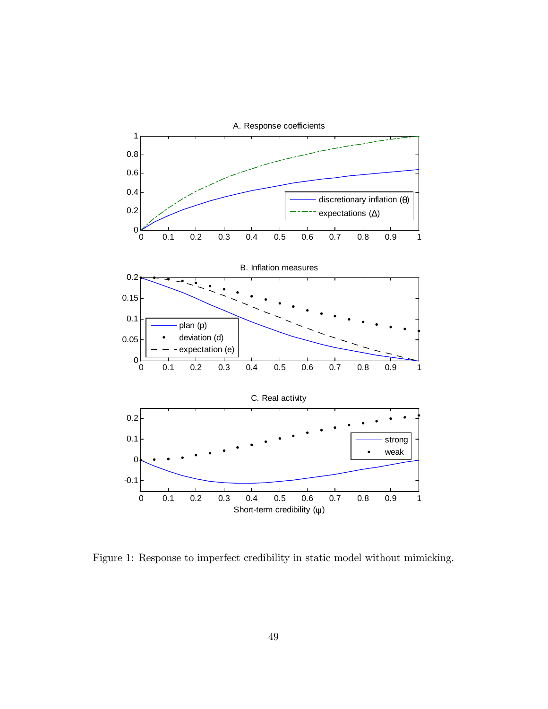

Figure 1: Response to imperfect credibility in static model without mimicking.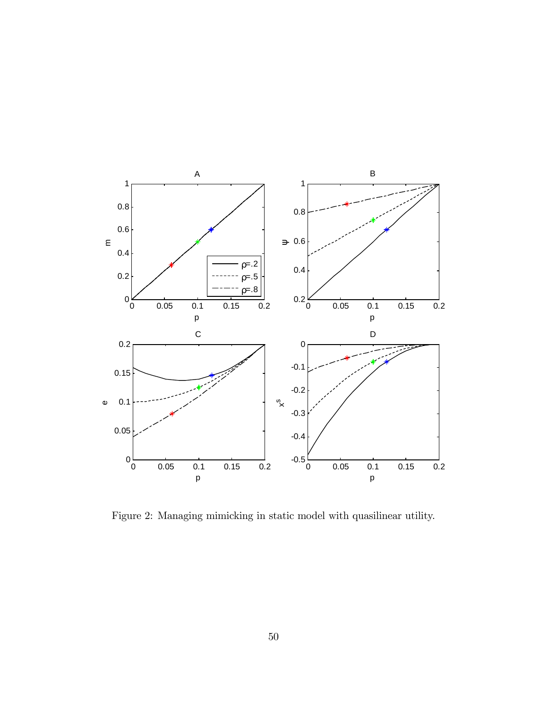

Figure 2: Managing mimicking in static model with quasilinear utility.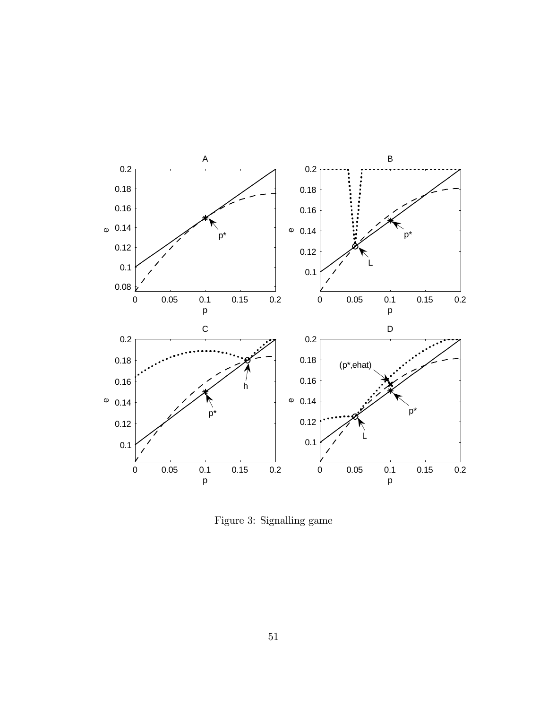

Figure 3: Signalling game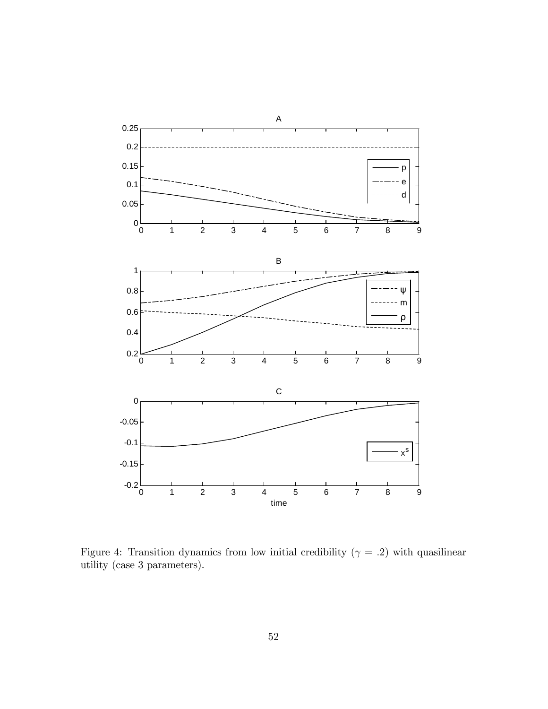

Figure 4: Transition dynamics from low initial credibility ( $\gamma = .2$ ) with quasilinear utility (case 3 parameters).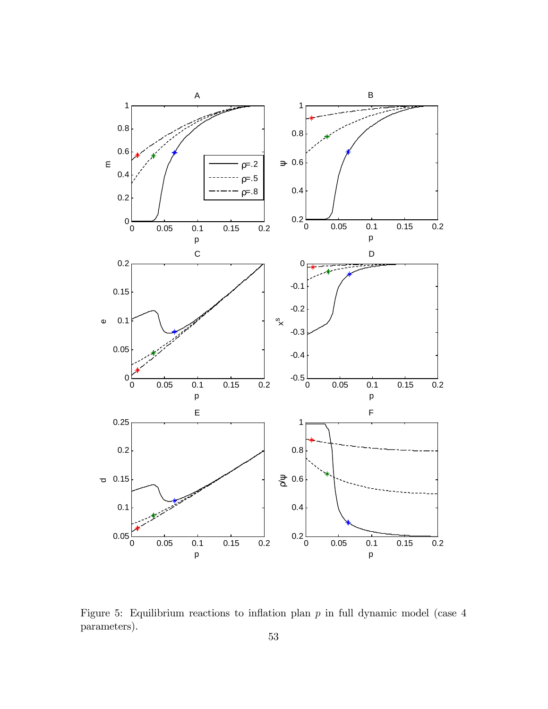

Figure 5: Equilibrium reactions to inflation plan  $p$  in full dynamic model (case  $4$ parameters).